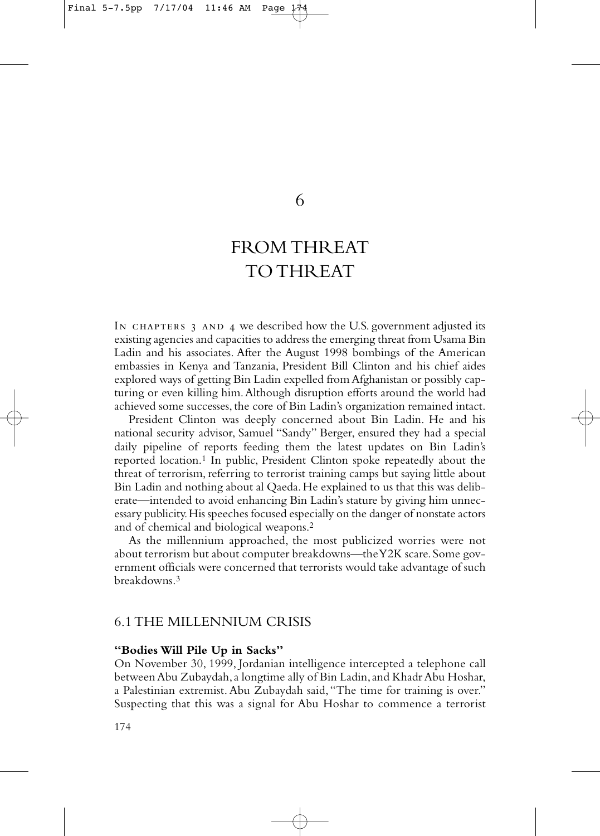6

# FROM THREAT TO THREAT

IN CHAPTERS 3 AND 4 we described how the U.S. government adjusted its existing agencies and capacities to address the emerging threat from Usama Bin Ladin and his associates. After the August 1998 bombings of the American embassies in Kenya and Tanzania, President Bill Clinton and his chief aides explored ways of getting Bin Ladin expelled from Afghanistan or possibly capturing or even killing him.Although disruption efforts around the world had achieved some successes, the core of Bin Ladin's organization remained intact.

President Clinton was deeply concerned about Bin Ladin. He and his national security advisor, Samuel "Sandy" Berger, ensured they had a special daily pipeline of reports feeding them the latest updates on Bin Ladin's reported location.1 In public, President Clinton spoke repeatedly about the threat of terrorism, referring to terrorist training camps but saying little about Bin Ladin and nothing about al Qaeda. He explained to us that this was deliberate—intended to avoid enhancing Bin Ladin's stature by giving him unnecessary publicity.His speeches focused especially on the danger of nonstate actors and of chemical and biological weapons.2

As the millennium approached, the most publicized worries were not about terrorism but about computer breakdowns—the Y2K scare.Some government officials were concerned that terrorists would take advantage of such breakdowns.3

# 6.1 THE MILLENNIUM CRISIS

#### **"Bodies Will Pile Up in Sacks"**

On November 30, 1999, Jordanian intelligence intercepted a telephone call between Abu Zubaydah, a longtime ally of Bin Ladin, and Khadr Abu Hoshar, a Palestinian extremist. Abu Zubaydah said,"The time for training is over." Suspecting that this was a signal for Abu Hoshar to commence a terrorist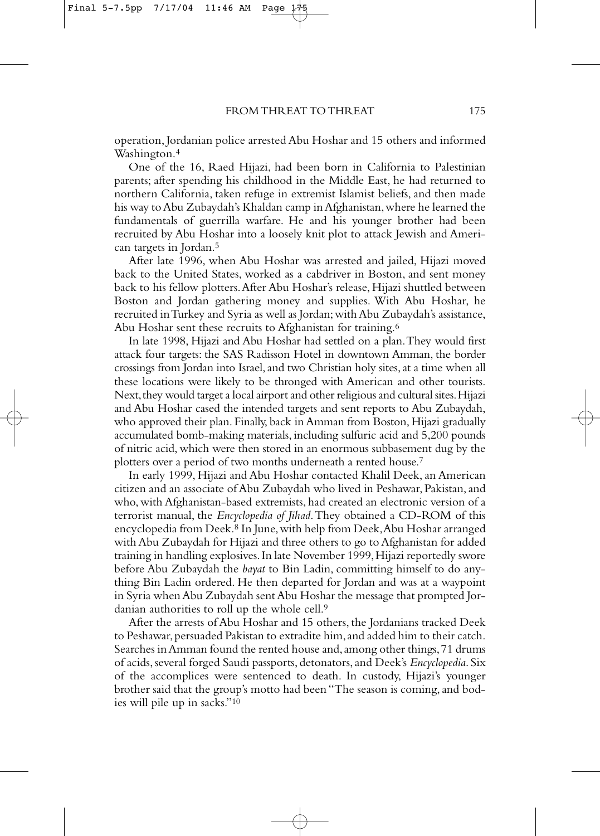operation, Jordanian police arrested Abu Hoshar and 15 others and informed Washington.4

One of the 16, Raed Hijazi, had been born in California to Palestinian parents; after spending his childhood in the Middle East, he had returned to northern California, taken refuge in extremist Islamist beliefs, and then made his way to Abu Zubaydah's Khaldan camp in Afghanistan, where he learned the fundamentals of guerrilla warfare. He and his younger brother had been recruited by Abu Hoshar into a loosely knit plot to attack Jewish and American targets in Jordan.5

After late 1996, when Abu Hoshar was arrested and jailed, Hijazi moved back to the United States, worked as a cabdriver in Boston, and sent money back to his fellow plotters.After Abu Hoshar's release, Hijazi shuttled between Boston and Jordan gathering money and supplies. With Abu Hoshar, he recruited in Turkey and Syria as well as Jordan; with Abu Zubaydah's assistance, Abu Hoshar sent these recruits to Afghanistan for training.6

In late 1998, Hijazi and Abu Hoshar had settled on a plan.They would first attack four targets: the SAS Radisson Hotel in downtown Amman, the border crossings from Jordan into Israel, and two Christian holy sites, at a time when all these locations were likely to be thronged with American and other tourists. Next, they would target a local airport and other religious and cultural sites. Hijazi and Abu Hoshar cased the intended targets and sent reports to Abu Zubaydah, who approved their plan. Finally, back in Amman from Boston, Hijazi gradually accumulated bomb-making materials, including sulfuric acid and 5,200 pounds of nitric acid, which were then stored in an enormous subbasement dug by the plotters over a period of two months underneath a rented house.7

In early 1999, Hijazi and Abu Hoshar contacted Khalil Deek, an American citizen and an associate of Abu Zubaydah who lived in Peshawar, Pakistan, and who, with Afghanistan-based extremists, had created an electronic version of a terrorist manual, the *Encyclopedia of Jihad*.They obtained a CD-ROM of this encyclopedia from Deek.<sup>8</sup> In June, with help from Deek, Abu Hoshar arranged with Abu Zubaydah for Hijazi and three others to go to Afghanistan for added training in handling explosives.In late November 1999,Hijazi reportedly swore before Abu Zubaydah the *bayat* to Bin Ladin, committing himself to do anything Bin Ladin ordered. He then departed for Jordan and was at a waypoint in Syria when Abu Zubaydah sent Abu Hoshar the message that prompted Jordanian authorities to roll up the whole cell.9

After the arrests of Abu Hoshar and 15 others, the Jordanians tracked Deek to Peshawar, persuaded Pakistan to extradite him, and added him to their catch. Searches in Amman found the rented house and,among other things,71 drums of acids, several forged Saudi passports, detonators, and Deek's *Encyclopedia*. Six of the accomplices were sentenced to death. In custody, Hijazi's younger brother said that the group's motto had been "The season is coming, and bodies will pile up in sacks."10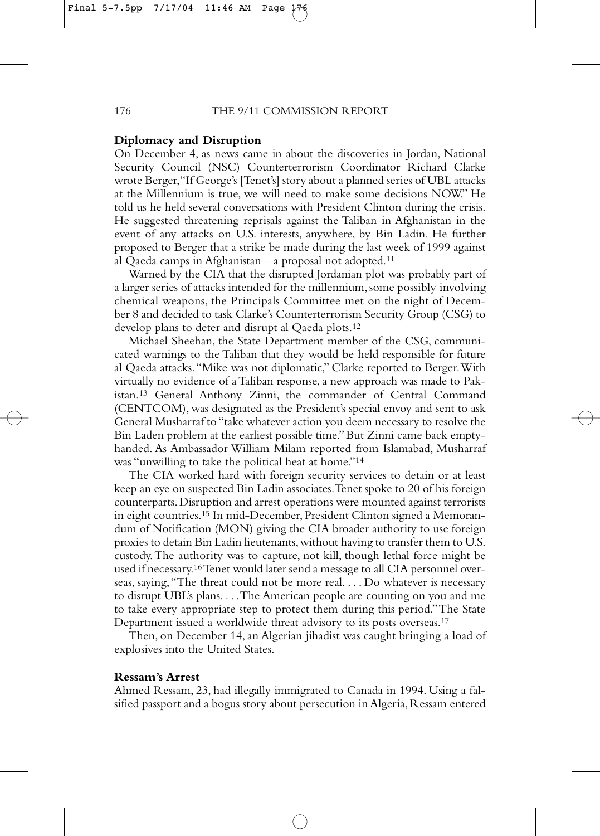#### **Diplomacy and Disruption**

On December 4, as news came in about the discoveries in Jordan, National Security Council (NSC) Counterterrorism Coordinator Richard Clarke wrote Berger,"If George's [Tenet's] story about a planned series of UBL attacks at the Millennium is true, we will need to make some decisions NOW." He told us he held several conversations with President Clinton during the crisis. He suggested threatening reprisals against the Taliban in Afghanistan in the event of any attacks on U.S. interests, anywhere, by Bin Ladin. He further proposed to Berger that a strike be made during the last week of 1999 against al Qaeda camps in Afghanistan—a proposal not adopted.<sup>11</sup>

Warned by the CIA that the disrupted Jordanian plot was probably part of a larger series of attacks intended for the millennium, some possibly involving chemical weapons, the Principals Committee met on the night of December 8 and decided to task Clarke's Counterterrorism Security Group (CSG) to develop plans to deter and disrupt al Qaeda plots.12

Michael Sheehan, the State Department member of the CSG, communicated warnings to the Taliban that they would be held responsible for future al Qaeda attacks."Mike was not diplomatic," Clarke reported to Berger.With virtually no evidence of a Taliban response, a new approach was made to Pakistan.13 General Anthony Zinni, the commander of Central Command (CENTCOM), was designated as the President's special envoy and sent to ask General Musharraf to "take whatever action you deem necessary to resolve the Bin Laden problem at the earliest possible time." But Zinni came back emptyhanded. As Ambassador William Milam reported from Islamabad, Musharraf was "unwilling to take the political heat at home."14

The CIA worked hard with foreign security services to detain or at least keep an eye on suspected Bin Ladin associates.Tenet spoke to 20 of his foreign counterparts.Disruption and arrest operations were mounted against terrorists in eight countries.<sup>15</sup> In mid-December, President Clinton signed a Memorandum of Notification (MON) giving the CIA broader authority to use foreign proxies to detain Bin Ladin lieutenants,without having to transfer them to U.S. custody.The authority was to capture, not kill, though lethal force might be used if necessary.16Tenet would later send a message to all CIA personnel overseas, saying,"The threat could not be more real. . . . Do whatever is necessary to disrupt UBL's plans. . . .The American people are counting on you and me to take every appropriate step to protect them during this period."The State Department issued a worldwide threat advisory to its posts overseas.<sup>17</sup>

Then, on December 14, an Algerian jihadist was caught bringing a load of explosives into the United States.

#### **Ressam's Arrest**

Ahmed Ressam, 23, had illegally immigrated to Canada in 1994. Using a falsified passport and a bogus story about persecution in Algeria, Ressam entered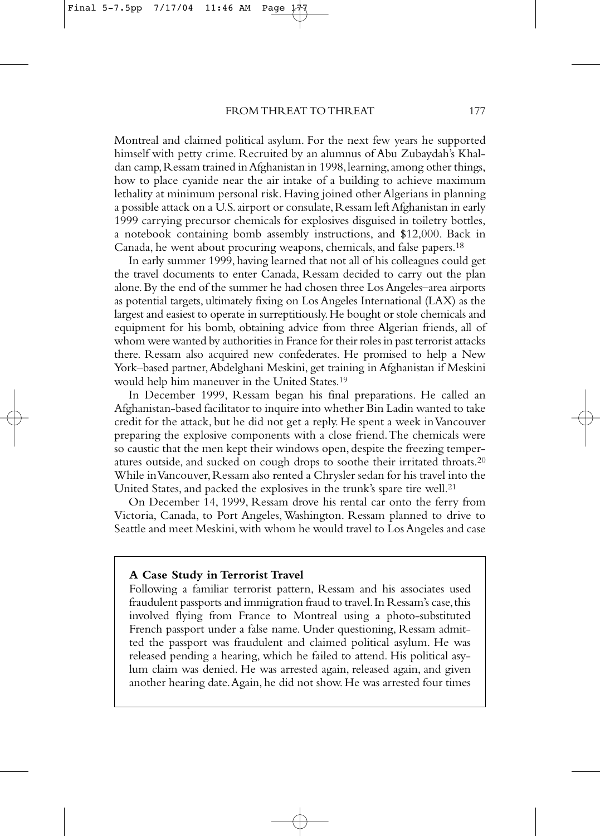Montreal and claimed political asylum. For the next few years he supported himself with petty crime. Recruited by an alumnus of Abu Zubaydah's Khaldan camp, Ressam trained in Afghanistan in 1998, learning, among other things, how to place cyanide near the air intake of a building to achieve maximum lethality at minimum personal risk. Having joined other Algerians in planning a possible attack on a U.S.airport or consulate,Ressam left Afghanistan in early 1999 carrying precursor chemicals for explosives disguised in toiletry bottles, a notebook containing bomb assembly instructions, and \$12,000. Back in Canada, he went about procuring weapons, chemicals, and false papers.18

In early summer 1999, having learned that not all of his colleagues could get the travel documents to enter Canada, Ressam decided to carry out the plan alone. By the end of the summer he had chosen three Los Angeles–area airports as potential targets, ultimately fixing on Los Angeles International (LAX) as the largest and easiest to operate in surreptitiously.He bought or stole chemicals and equipment for his bomb, obtaining advice from three Algerian friends, all of whom were wanted by authorities in France for their roles in past terrorist attacks there. Ressam also acquired new confederates. He promised to help a New York–based partner,Abdelghani Meskini, get training in Afghanistan if Meskini would help him maneuver in the United States.19

In December 1999, Ressam began his final preparations. He called an Afghanistan-based facilitator to inquire into whether Bin Ladin wanted to take credit for the attack, but he did not get a reply. He spent a week in Vancouver preparing the explosive components with a close friend.The chemicals were so caustic that the men kept their windows open, despite the freezing temperatures outside, and sucked on cough drops to soothe their irritated throats.20 While in Vancouver, Ressam also rented a Chrysler sedan for his travel into the United States, and packed the explosives in the trunk's spare tire well.21

On December 14, 1999, Ressam drove his rental car onto the ferry from Victoria, Canada, to Port Angeles, Washington. Ressam planned to drive to Seattle and meet Meskini, with whom he would travel to Los Angeles and case

#### **A Case Study in Terrorist Travel**

Following a familiar terrorist pattern, Ressam and his associates used fraudulent passports and immigration fraud to travel.In Ressam's case,this involved flying from France to Montreal using a photo-substituted French passport under a false name. Under questioning, Ressam admitted the passport was fraudulent and claimed political asylum. He was released pending a hearing, which he failed to attend. His political asylum claim was denied. He was arrested again, released again, and given another hearing date.Again, he did not show. He was arrested four times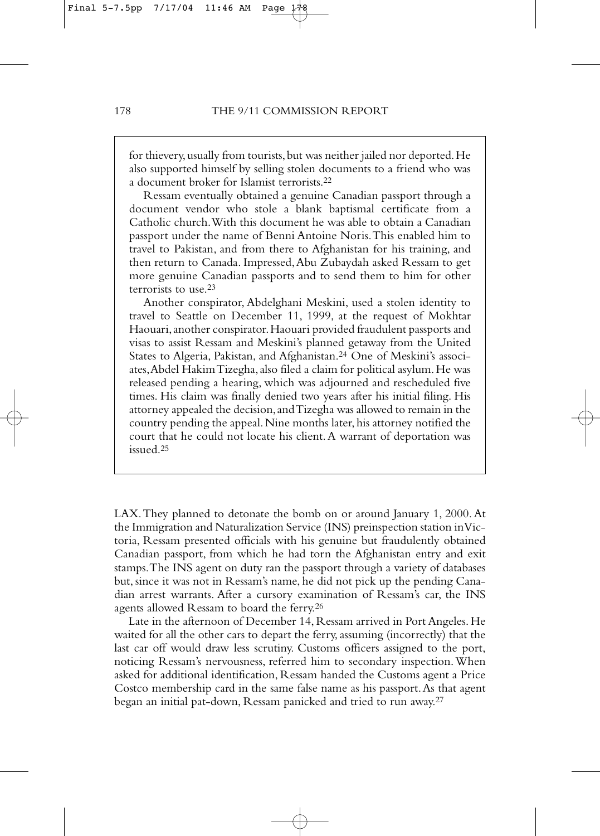for thievery, usually from tourists, but was neither jailed nor deported. He also supported himself by selling stolen documents to a friend who was a document broker for Islamist terrorists.22

Ressam eventually obtained a genuine Canadian passport through a document vendor who stole a blank baptismal certificate from a Catholic church.With this document he was able to obtain a Canadian passport under the name of Benni Antoine Noris.This enabled him to travel to Pakistan, and from there to Afghanistan for his training, and then return to Canada. Impressed,Abu Zubaydah asked Ressam to get more genuine Canadian passports and to send them to him for other terrorists to use.23

Another conspirator, Abdelghani Meskini, used a stolen identity to travel to Seattle on December 11, 1999, at the request of Mokhtar Haouari, another conspirator. Haouari provided fraudulent passports and visas to assist Ressam and Meskini's planned getaway from the United States to Algeria, Pakistan, and Afghanistan.24 One of Meskini's associates,Abdel Hakim Tizegha,also filed a claim for political asylum.He was released pending a hearing, which was adjourned and rescheduled five times. His claim was finally denied two years after his initial filing. His attorney appealed the decision,and Tizegha was allowed to remain in the country pending the appeal. Nine months later, his attorney notified the court that he could not locate his client.A warrant of deportation was issued.25

LAX.They planned to detonate the bomb on or around January 1, 2000. At the Immigration and Naturalization Service (INS) preinspection station in Victoria, Ressam presented officials with his genuine but fraudulently obtained Canadian passport, from which he had torn the Afghanistan entry and exit stamps.The INS agent on duty ran the passport through a variety of databases but, since it was not in Ressam's name, he did not pick up the pending Canadian arrest warrants. After a cursory examination of Ressam's car, the INS agents allowed Ressam to board the ferry.26

Late in the afternoon of December 14, Ressam arrived in Port Angeles. He waited for all the other cars to depart the ferry, assuming (incorrectly) that the last car off would draw less scrutiny. Customs officers assigned to the port, noticing Ressam's nervousness, referred him to secondary inspection.When asked for additional identification, Ressam handed the Customs agent a Price Costco membership card in the same false name as his passport.As that agent began an initial pat-down, Ressam panicked and tried to run away.27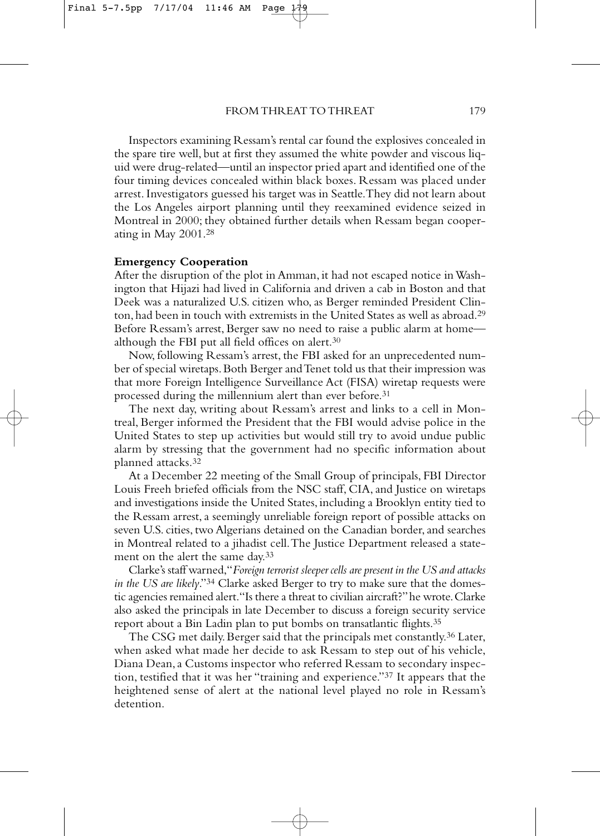Inspectors examining Ressam's rental car found the explosives concealed in the spare tire well, but at first they assumed the white powder and viscous liquid were drug-related—until an inspector pried apart and identified one of the four timing devices concealed within black boxes. Ressam was placed under arrest. Investigators guessed his target was in Seattle.They did not learn about the Los Angeles airport planning until they reexamined evidence seized in Montreal in 2000; they obtained further details when Ressam began cooperating in May 2001.28

## **Emergency Cooperation**

After the disruption of the plot in Amman, it had not escaped notice in Washington that Hijazi had lived in California and driven a cab in Boston and that Deek was a naturalized U.S. citizen who, as Berger reminded President Clinton, had been in touch with extremists in the United States as well as abroad.<sup>29</sup> Before Ressam's arrest, Berger saw no need to raise a public alarm at home although the FBI put all field offices on alert.30

Now, following Ressam's arrest, the FBI asked for an unprecedented number of special wiretaps.Both Berger and Tenet told us that their impression was that more Foreign Intelligence Surveillance Act (FISA) wiretap requests were processed during the millennium alert than ever before.31

The next day, writing about Ressam's arrest and links to a cell in Montreal, Berger informed the President that the FBI would advise police in the United States to step up activities but would still try to avoid undue public alarm by stressing that the government had no specific information about planned attacks.32

At a December 22 meeting of the Small Group of principals, FBI Director Louis Freeh briefed officials from the NSC staff, CIA, and Justice on wiretaps and investigations inside the United States, including a Brooklyn entity tied to the Ressam arrest, a seemingly unreliable foreign report of possible attacks on seven U.S. cities, two Algerians detained on the Canadian border, and searches in Montreal related to a jihadist cell.The Justice Department released a statement on the alert the same day.33

Clarke's staff warned,"*Foreign terrorist sleeper cells are present in the US and attacks in the US are likely*."34 Clarke asked Berger to try to make sure that the domestic agencies remained alert."Is there a threat to civilian aircraft?"he wrote.Clarke also asked the principals in late December to discuss a foreign security service report about a Bin Ladin plan to put bombs on transatlantic flights.<sup>35</sup>

The CSG met daily.Berger said that the principals met constantly.36 Later, when asked what made her decide to ask Ressam to step out of his vehicle, Diana Dean, a Customs inspector who referred Ressam to secondary inspection, testified that it was her "training and experience."37 It appears that the heightened sense of alert at the national level played no role in Ressam's detention.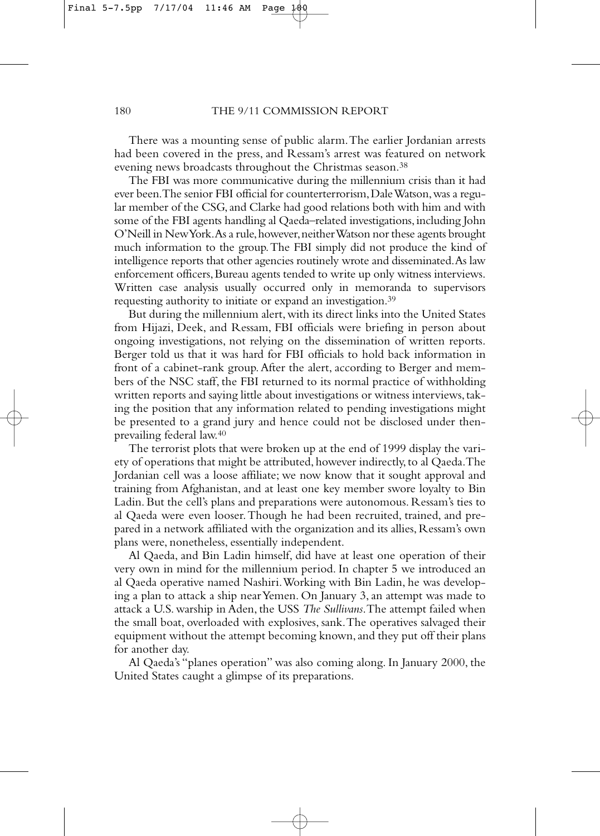There was a mounting sense of public alarm.The earlier Jordanian arrests had been covered in the press, and Ressam's arrest was featured on network evening news broadcasts throughout the Christmas season.38

The FBI was more communicative during the millennium crisis than it had ever been. The senior FBI official for counterterrorism, Dale Watson, was a regular member of the CSG, and Clarke had good relations both with him and with some of the FBI agents handling al Qaeda–related investigations, including John O'Neill in New York.As a rule,however,neither Watson nor these agents brought much information to the group.The FBI simply did not produce the kind of intelligence reports that other agencies routinely wrote and disseminated.As law enforcement officers, Bureau agents tended to write up only witness interviews. Written case analysis usually occurred only in memoranda to supervisors requesting authority to initiate or expand an investigation.39

But during the millennium alert, with its direct links into the United States from Hijazi, Deek, and Ressam, FBI officials were briefing in person about ongoing investigations, not relying on the dissemination of written reports. Berger told us that it was hard for FBI officials to hold back information in front of a cabinet-rank group.After the alert, according to Berger and members of the NSC staff, the FBI returned to its normal practice of withholding written reports and saying little about investigations or witness interviews, taking the position that any information related to pending investigations might be presented to a grand jury and hence could not be disclosed under thenprevailing federal law.40

The terrorist plots that were broken up at the end of 1999 display the variety of operations that might be attributed, however indirectly, to al Qaeda. The Jordanian cell was a loose affiliate; we now know that it sought approval and training from Afghanistan, and at least one key member swore loyalty to Bin Ladin. But the cell's plans and preparations were autonomous. Ressam's ties to al Qaeda were even looser.Though he had been recruited, trained, and prepared in a network affiliated with the organization and its allies, Ressam's own plans were, nonetheless, essentially independent.

Al Qaeda, and Bin Ladin himself, did have at least one operation of their very own in mind for the millennium period. In chapter 5 we introduced an al Qaeda operative named Nashiri.Working with Bin Ladin, he was developing a plan to attack a ship near Yemen. On January 3, an attempt was made to attack a U.S. warship in Aden, the USS *The Sullivans*.The attempt failed when the small boat, overloaded with explosives, sank.The operatives salvaged their equipment without the attempt becoming known, and they put off their plans for another day.

Al Qaeda's "planes operation" was also coming along. In January 2000, the United States caught a glimpse of its preparations.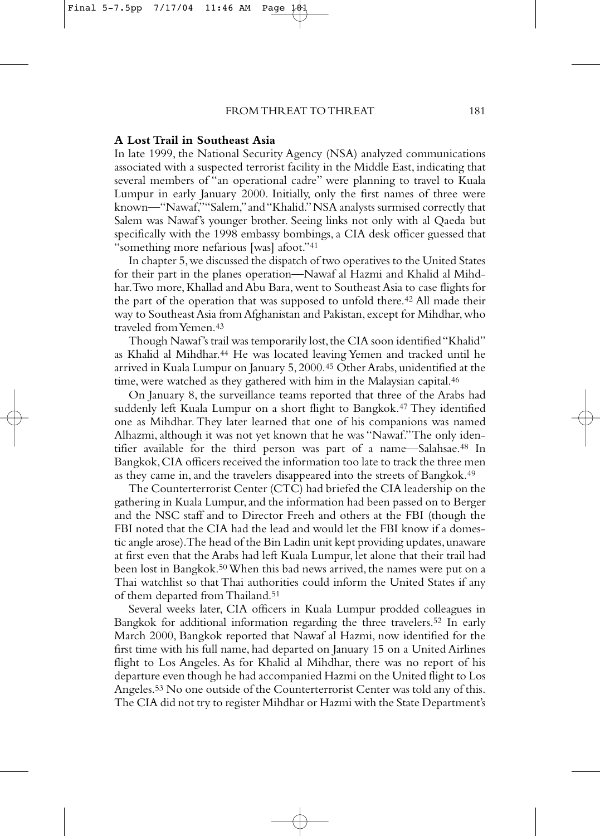## **A Lost Trail in Southeast Asia**

In late 1999, the National Security Agency (NSA) analyzed communications associated with a suspected terrorist facility in the Middle East, indicating that several members of "an operational cadre" were planning to travel to Kuala Lumpur in early January 2000. Initially, only the first names of three were known—"Nawaf,""Salem,"and "Khalid."NSA analysts surmised correctly that Salem was Nawaf's younger brother. Seeing links not only with al Qaeda but specifically with the 1998 embassy bombings, a CIA desk officer guessed that "something more nefarious [was] afoot."41

In chapter 5,we discussed the dispatch of two operatives to the United States for their part in the planes operation—Nawaf al Hazmi and Khalid al Mihdhar.Two more, Khallad and Abu Bara, went to Southeast Asia to case flights for the part of the operation that was supposed to unfold there.<sup>42</sup> All made their way to Southeast Asia from Afghanistan and Pakistan, except for Mihdhar, who traveled from Yemen.43

Though Nawaf's trail was temporarily lost, the CIA soon identified "Khalid" as Khalid al Mihdhar.44 He was located leaving Yemen and tracked until he arrived in Kuala Lumpur on January 5, 2000.<sup>45</sup> Other Arabs, unidentified at the time, were watched as they gathered with him in the Malaysian capital.<sup>46</sup>

On January 8, the surveillance teams reported that three of the Arabs had suddenly left Kuala Lumpur on a short flight to Bangkok.<sup>47</sup> They identified one as Mihdhar. They later learned that one of his companions was named Alhazmi, although it was not yet known that he was "Nawaf."The only identifier available for the third person was part of a name—Salahsae.48 In Bangkok,CIA officers received the information too late to track the three men as they came in, and the travelers disappeared into the streets of Bangkok.49

The Counterterrorist Center (CTC) had briefed the CIA leadership on the gathering in Kuala Lumpur,and the information had been passed on to Berger and the NSC staff and to Director Freeh and others at the FBI (though the FBI noted that the CIA had the lead and would let the FBI know if a domestic angle arose). The head of the Bin Ladin unit kept providing updates, unaware at first even that the Arabs had left Kuala Lumpur, let alone that their trail had been lost in Bangkok.50When this bad news arrived, the names were put on a Thai watchlist so that Thai authorities could inform the United States if any of them departed from Thailand.51

Several weeks later, CIA officers in Kuala Lumpur prodded colleagues in Bangkok for additional information regarding the three travelers.52 In early March 2000, Bangkok reported that Nawaf al Hazmi, now identified for the first time with his full name, had departed on January 15 on a United Airlines flight to Los Angeles. As for Khalid al Mihdhar, there was no report of his departure even though he had accompanied Hazmi on the United flight to Los Angeles.53 No one outside of the Counterterrorist Center was told any of this. The CIA did not try to register Mihdhar or Hazmi with the State Department's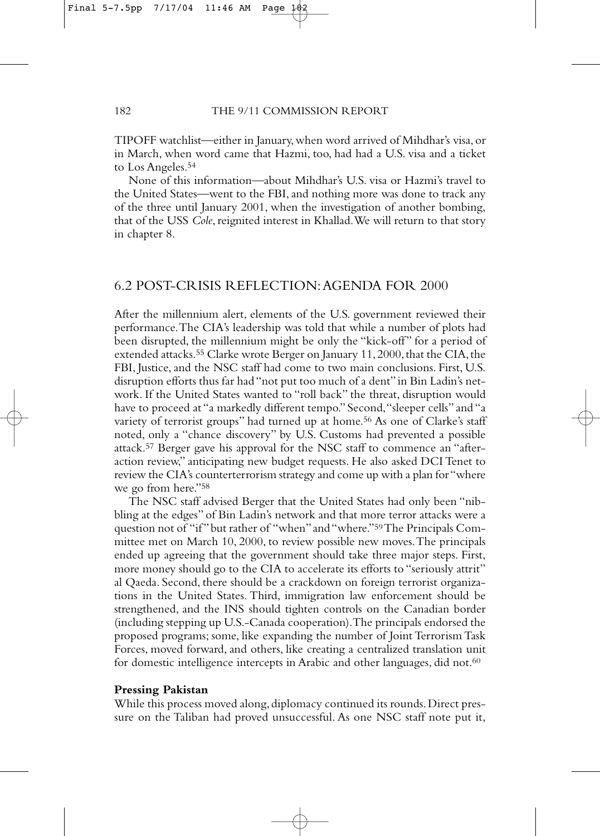TIPOFF watchlist—either in January,when word arrived of Mihdhar's visa,or in March, when word came that Hazmi, too, had had a U.S. visa and a ticket to Los Angeles.54

None of this information—about Mihdhar's U.S. visa or Hazmi's travel to the United States—went to the FBI, and nothing more was done to track any of the three until January 2001, when the investigation of another bombing, that of the USS *Cole*, reignited interest in Khallad.We will return to that story in chapter 8.

# 6.2 POST-CRISIS REFLECTION:AGENDA FOR 2000

After the millennium alert, elements of the U.S. government reviewed their performance.The CIA's leadership was told that while a number of plots had been disrupted, the millennium might be only the "kick-off" for a period of extended attacks.<sup>55</sup> Clarke wrote Berger on January 11, 2000, that the CIA, the FBI, Justice, and the NSC staff had come to two main conclusions. First, U.S. disruption efforts thus far had "not put too much of a dent"in Bin Ladin's network. If the United States wanted to "roll back" the threat, disruption would have to proceed at "a markedly different tempo." Second, "sleeper cells" and "a variety of terrorist groups" had turned up at home.<sup>56</sup> As one of Clarke's staff noted, only a "chance discovery" by U.S. Customs had prevented a possible attack.57 Berger gave his approval for the NSC staff to commence an "afteraction review," anticipating new budget requests. He also asked DCI Tenet to review the CIA's counterterrorism strategy and come up with a plan for "where we go from here."58

The NSC staff advised Berger that the United States had only been "nibbling at the edges" of Bin Ladin's network and that more terror attacks were a question not of "if" but rather of "when" and "where."<sup>59</sup>The Principals Committee met on March 10, 2000, to review possible new moves.The principals ended up agreeing that the government should take three major steps. First, more money should go to the CIA to accelerate its efforts to "seriously attrit" al Qaeda. Second, there should be a crackdown on foreign terrorist organizations in the United States. Third, immigration law enforcement should be strengthened, and the INS should tighten controls on the Canadian border (including stepping up U.S.-Canada cooperation).The principals endorsed the proposed programs; some, like expanding the number of Joint Terrorism Task Forces, moved forward, and others, like creating a centralized translation unit for domestic intelligence intercepts in Arabic and other languages, did not.<sup>60</sup>

#### **Pressing Pakistan**

While this process moved along, diplomacy continued its rounds. Direct pressure on the Taliban had proved unsuccessful. As one NSC staff note put it,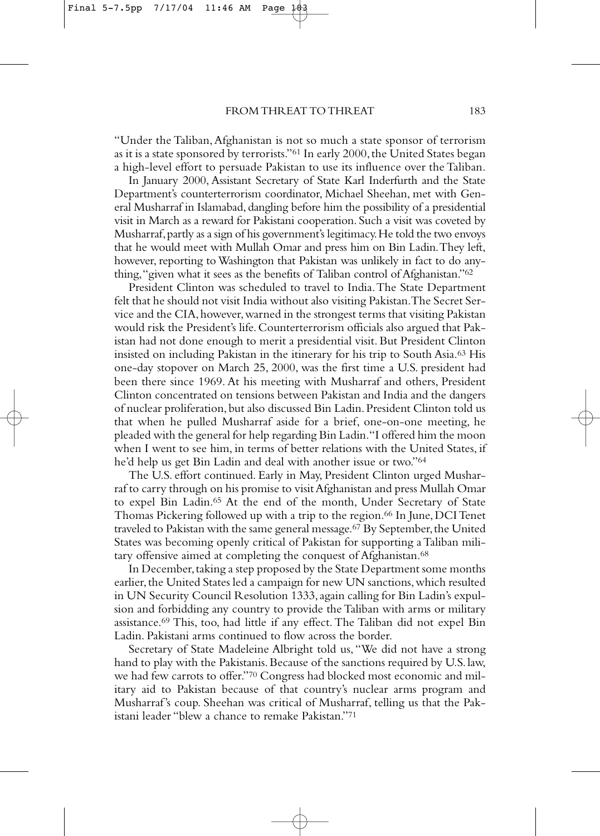"Under the Taliban,Afghanistan is not so much a state sponsor of terrorism as it is a state sponsored by terrorists."<sup>61</sup> In early 2000, the United States began a high-level effort to persuade Pakistan to use its influence over the Taliban.

In January 2000, Assistant Secretary of State Karl Inderfurth and the State Department's counterterrorism coordinator, Michael Sheehan, met with General Musharraf in Islamabad, dangling before him the possibility of a presidential visit in March as a reward for Pakistani cooperation. Such a visit was coveted by Musharraf,partly as a sign of his government's legitimacy.He told the two envoys that he would meet with Mullah Omar and press him on Bin Ladin.They left, however, reporting to Washington that Pakistan was unlikely in fact to do anything,"given what it sees as the benefits of Taliban control of Afghanistan."62

President Clinton was scheduled to travel to India.The State Department felt that he should not visit India without also visiting Pakistan.The Secret Service and the CIA,however,warned in the strongest terms that visiting Pakistan would risk the President's life. Counterterrorism officials also argued that Pakistan had not done enough to merit a presidential visit. But President Clinton insisted on including Pakistan in the itinerary for his trip to South Asia.63 His one-day stopover on March 25, 2000, was the first time a U.S. president had been there since 1969. At his meeting with Musharraf and others, President Clinton concentrated on tensions between Pakistan and India and the dangers of nuclear proliferation,but also discussed Bin Ladin.President Clinton told us that when he pulled Musharraf aside for a brief, one-on-one meeting, he pleaded with the general for help regarding Bin Ladin."I offered him the moon when I went to see him, in terms of better relations with the United States, if he'd help us get Bin Ladin and deal with another issue or two."64

The U.S. effort continued. Early in May, President Clinton urged Musharraf to carry through on his promise to visit Afghanistan and press Mullah Omar to expel Bin Ladin.65 At the end of the month, Under Secretary of State Thomas Pickering followed up with a trip to the region.66 In June, DCI Tenet traveled to Pakistan with the same general message.<sup>67</sup> By September, the United States was becoming openly critical of Pakistan for supporting a Taliban military offensive aimed at completing the conquest of Afghanistan.<sup>68</sup>

In December, taking a step proposed by the State Department some months earlier, the United States led a campaign for new UN sanctions, which resulted in UN Security Council Resolution 1333, again calling for Bin Ladin's expulsion and forbidding any country to provide the Taliban with arms or military assistance.69 This, too, had little if any effect. The Taliban did not expel Bin Ladin. Pakistani arms continued to flow across the border.

Secretary of State Madeleine Albright told us, "We did not have a strong hand to play with the Pakistanis. Because of the sanctions required by U.S. law, we had few carrots to offer."70 Congress had blocked most economic and military aid to Pakistan because of that country's nuclear arms program and Musharraf's coup. Sheehan was critical of Musharraf, telling us that the Pakistani leader "blew a chance to remake Pakistan."71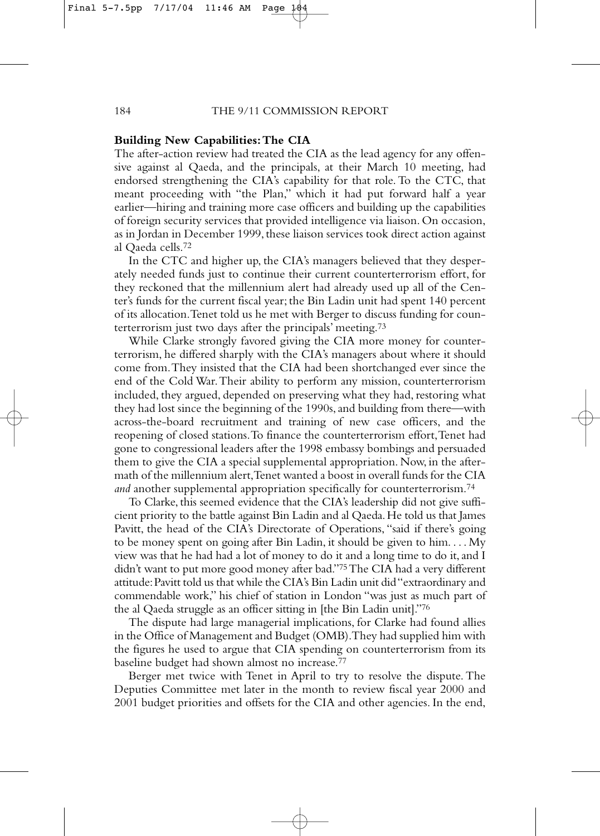#### **Building New Capabilities:The CIA**

The after-action review had treated the CIA as the lead agency for any offensive against al Qaeda, and the principals, at their March 10 meeting, had endorsed strengthening the CIA's capability for that role. To the CTC, that meant proceeding with "the Plan," which it had put forward half a year earlier—hiring and training more case officers and building up the capabilities of foreign security services that provided intelligence via liaison. On occasion, as in Jordan in December 1999, these liaison services took direct action against al Qaeda cells.72

In the CTC and higher up, the CIA's managers believed that they desperately needed funds just to continue their current counterterrorism effort, for they reckoned that the millennium alert had already used up all of the Center's funds for the current fiscal year; the Bin Ladin unit had spent 140 percent of its allocation.Tenet told us he met with Berger to discuss funding for counterterrorism just two days after the principals' meeting.73

While Clarke strongly favored giving the CIA more money for counterterrorism, he differed sharply with the CIA's managers about where it should come from.They insisted that the CIA had been shortchanged ever since the end of the Cold War.Their ability to perform any mission, counterterrorism included, they argued, depended on preserving what they had, restoring what they had lost since the beginning of the 1990s, and building from there—with across-the-board recruitment and training of new case officers, and the reopening of closed stations.To finance the counterterrorism effort,Tenet had gone to congressional leaders after the 1998 embassy bombings and persuaded them to give the CIA a special supplemental appropriation. Now, in the aftermath of the millennium alert,Tenet wanted a boost in overall funds for the CIA *and* another supplemental appropriation specifically for counterterrorism.74

To Clarke, this seemed evidence that the CIA's leadership did not give sufficient priority to the battle against Bin Ladin and al Qaeda.He told us that James Pavitt, the head of the CIA's Directorate of Operations, "said if there's going to be money spent on going after Bin Ladin, it should be given to him. . . . My view was that he had had a lot of money to do it and a long time to do it, and I didn't want to put more good money after bad."75The CIA had a very different attitude:Pavitt told us that while the CIA's Bin Ladin unit did "extraordinary and commendable work," his chief of station in London "was just as much part of the al Qaeda struggle as an officer sitting in [the Bin Ladin unit]."76

The dispute had large managerial implications, for Clarke had found allies in the Office of Management and Budget (OMB).They had supplied him with the figures he used to argue that CIA spending on counterterrorism from its baseline budget had shown almost no increase.77

Berger met twice with Tenet in April to try to resolve the dispute. The Deputies Committee met later in the month to review fiscal year 2000 and 2001 budget priorities and offsets for the CIA and other agencies. In the end,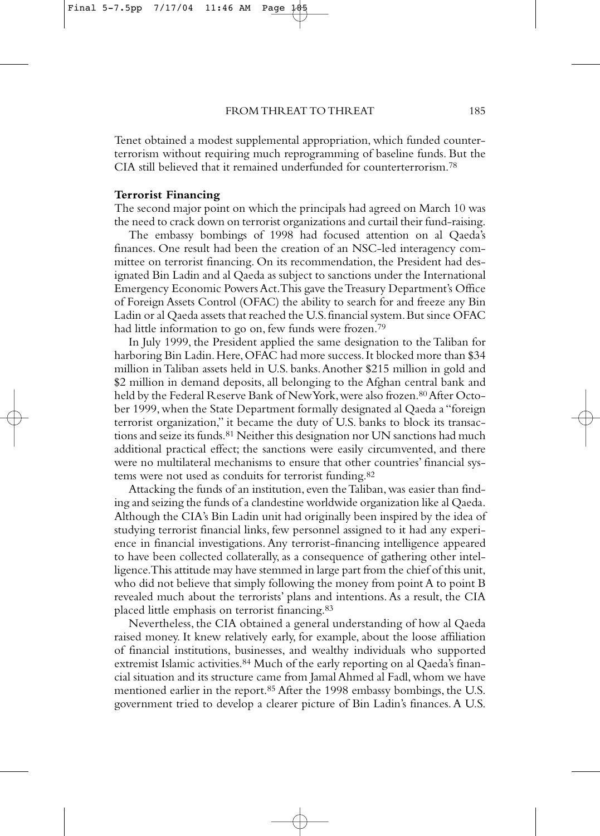Tenet obtained a modest supplemental appropriation, which funded counterterrorism without requiring much reprogramming of baseline funds. But the CIA still believed that it remained underfunded for counterterrorism.78

#### **Terrorist Financing**

The second major point on which the principals had agreed on March 10 was the need to crack down on terrorist organizations and curtail their fund-raising.

The embassy bombings of 1998 had focused attention on al Qaeda's finances. One result had been the creation of an NSC-led interagency committee on terrorist financing. On its recommendation, the President had designated Bin Ladin and al Qaeda as subject to sanctions under the International Emergency Economic Powers Act.This gave the Treasury Department's Office of Foreign Assets Control (OFAC) the ability to search for and freeze any Bin Ladin or al Qaeda assets that reached the U.S.financial system.But since OFAC had little information to go on, few funds were frozen.79

In July 1999, the President applied the same designation to the Taliban for harboring Bin Ladin. Here, OFAC had more success. It blocked more than \$34 million in Taliban assets held in U.S. banks.Another \$215 million in gold and \$2 million in demand deposits, all belonging to the Afghan central bank and held by the Federal Reserve Bank of New York, were also frozen.<sup>80</sup> After October 1999, when the State Department formally designated al Qaeda a "foreign terrorist organization," it became the duty of U.S. banks to block its transactions and seize its funds.<sup>81</sup> Neither this designation nor UN sanctions had much additional practical effect; the sanctions were easily circumvented, and there were no multilateral mechanisms to ensure that other countries' financial systems were not used as conduits for terrorist funding.<sup>82</sup>

Attacking the funds of an institution, even the Taliban, was easier than finding and seizing the funds of a clandestine worldwide organization like al Qaeda. Although the CIA's Bin Ladin unit had originally been inspired by the idea of studying terrorist financial links, few personnel assigned to it had any experience in financial investigations. Any terrorist-financing intelligence appeared to have been collected collaterally, as a consequence of gathering other intelligence.This attitude may have stemmed in large part from the chief of this unit, who did not believe that simply following the money from point A to point B revealed much about the terrorists' plans and intentions. As a result, the CIA placed little emphasis on terrorist financing.83

Nevertheless, the CIA obtained a general understanding of how al Qaeda raised money. It knew relatively early, for example, about the loose affiliation of financial institutions, businesses, and wealthy individuals who supported extremist Islamic activities.<sup>84</sup> Much of the early reporting on al Qaeda's financial situation and its structure came from Jamal Ahmed al Fadl, whom we have mentioned earlier in the report.85 After the 1998 embassy bombings, the U.S. government tried to develop a clearer picture of Bin Ladin's finances.A U.S.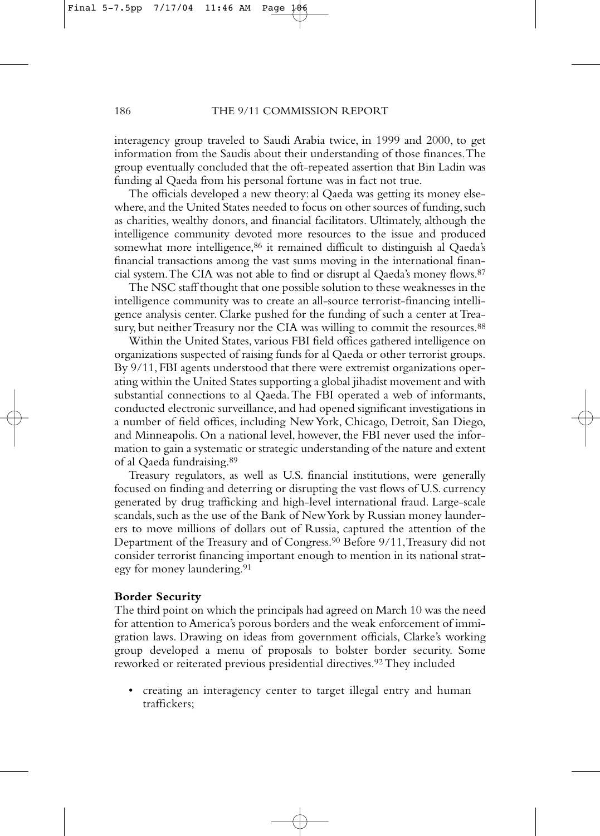interagency group traveled to Saudi Arabia twice, in 1999 and 2000, to get information from the Saudis about their understanding of those finances.The group eventually concluded that the oft-repeated assertion that Bin Ladin was funding al Qaeda from his personal fortune was in fact not true.

The officials developed a new theory: al Qaeda was getting its money elsewhere, and the United States needed to focus on other sources of funding, such as charities, wealthy donors, and financial facilitators. Ultimately, although the intelligence community devoted more resources to the issue and produced somewhat more intelligence,<sup>86</sup> it remained difficult to distinguish al Qaeda's financial transactions among the vast sums moving in the international financial system.The CIA was not able to find or disrupt al Qaeda's money flows.87

The NSC staff thought that one possible solution to these weaknesses in the intelligence community was to create an all-source terrorist-financing intelligence analysis center. Clarke pushed for the funding of such a center at Treasury, but neither Treasury nor the CIA was willing to commit the resources.<sup>88</sup>

Within the United States, various FBI field offices gathered intelligence on organizations suspected of raising funds for al Qaeda or other terrorist groups. By 9/11, FBI agents understood that there were extremist organizations operating within the United States supporting a global jihadist movement and with substantial connections to al Qaeda.The FBI operated a web of informants, conducted electronic surveillance, and had opened significant investigations in a number of field offices, including New York, Chicago, Detroit, San Diego, and Minneapolis. On a national level, however, the FBI never used the information to gain a systematic or strategic understanding of the nature and extent of al Qaeda fundraising.89

Treasury regulators, as well as U.S. financial institutions, were generally focused on finding and deterring or disrupting the vast flows of U.S. currency generated by drug trafficking and high-level international fraud. Large-scale scandals, such as the use of the Bank of New York by Russian money launderers to move millions of dollars out of Russia, captured the attention of the Department of the Treasury and of Congress.<sup>90</sup> Before 9/11, Treasury did not consider terrorist financing important enough to mention in its national strategy for money laundering.91

#### **Border Security**

The third point on which the principals had agreed on March 10 was the need for attention to America's porous borders and the weak enforcement of immigration laws. Drawing on ideas from government officials, Clarke's working group developed a menu of proposals to bolster border security. Some reworked or reiterated previous presidential directives.92They included

• creating an interagency center to target illegal entry and human traffickers;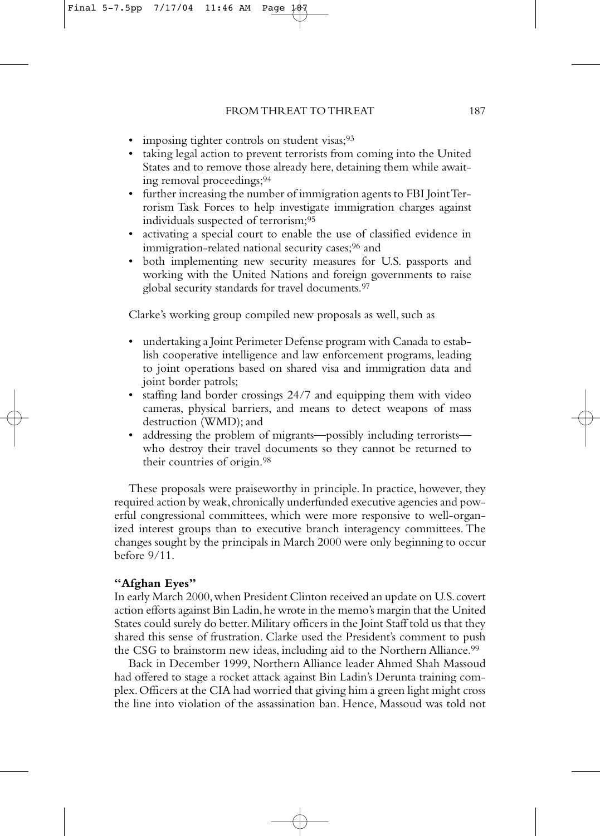- imposing tighter controls on student visas;<sup>93</sup>
- taking legal action to prevent terrorists from coming into the United States and to remove those already here, detaining them while awaiting removal proceedings;94
- further increasing the number of immigration agents to FBI Joint Terrorism Task Forces to help investigate immigration charges against individuals suspected of terrorism;95
- activating a special court to enable the use of classified evidence in immigration-related national security cases;<sup>96</sup> and
- both implementing new security measures for U.S. passports and working with the United Nations and foreign governments to raise global security standards for travel documents.97

Clarke's working group compiled new proposals as well, such as

- undertaking a Joint Perimeter Defense program with Canada to establish cooperative intelligence and law enforcement programs, leading to joint operations based on shared visa and immigration data and joint border patrols;
- staffing land border crossings 24/7 and equipping them with video cameras, physical barriers, and means to detect weapons of mass destruction (WMD); and
- addressing the problem of migrants—possibly including terrorists who destroy their travel documents so they cannot be returned to their countries of origin.98

These proposals were praiseworthy in principle. In practice, however, they required action by weak, chronically underfunded executive agencies and powerful congressional committees, which were more responsive to well-organized interest groups than to executive branch interagency committees. The changes sought by the principals in March 2000 were only beginning to occur before 9/11.

## **"Afghan Eyes"**

In early March 2000,when President Clinton received an update on U.S.covert action efforts against Bin Ladin,he wrote in the memo's margin that the United States could surely do better.Military officers in the Joint Staff told us that they shared this sense of frustration. Clarke used the President's comment to push the CSG to brainstorm new ideas, including aid to the Northern Alliance.<sup>99</sup>

Back in December 1999, Northern Alliance leader Ahmed Shah Massoud had offered to stage a rocket attack against Bin Ladin's Derunta training complex.Officers at the CIA had worried that giving him a green light might cross the line into violation of the assassination ban. Hence, Massoud was told not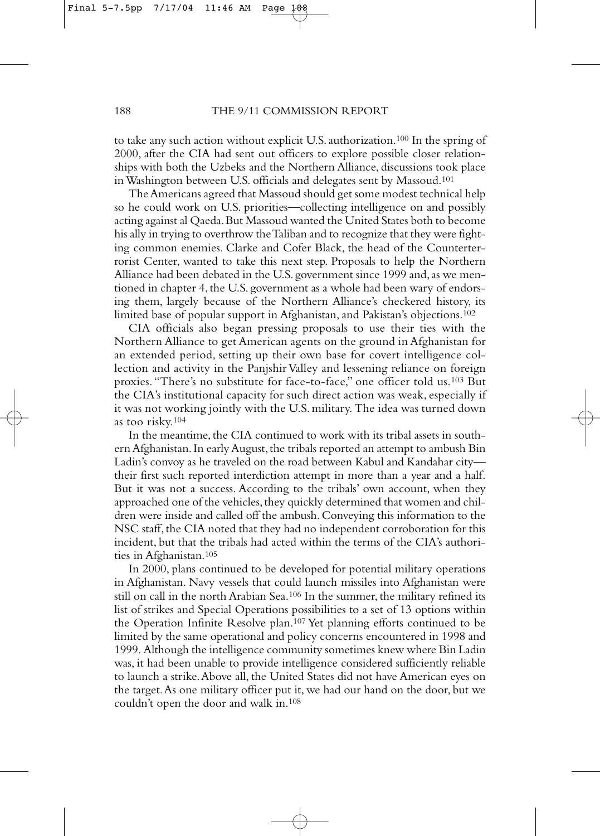to take any such action without explicit U.S. authorization.100 In the spring of 2000, after the CIA had sent out officers to explore possible closer relationships with both the Uzbeks and the Northern Alliance, discussions took place in Washington between U.S. officials and delegates sent by Massoud.101

The Americans agreed that Massoud should get some modest technical help so he could work on U.S. priorities—collecting intelligence on and possibly acting against al Qaeda.But Massoud wanted the United States both to become his ally in trying to overthrow the Taliban and to recognize that they were fighting common enemies. Clarke and Cofer Black, the head of the Counterterrorist Center, wanted to take this next step. Proposals to help the Northern Alliance had been debated in the U.S. government since 1999 and, as we mentioned in chapter 4, the U.S. government as a whole had been wary of endorsing them, largely because of the Northern Alliance's checkered history, its limited base of popular support in Afghanistan, and Pakistan's objections.102

CIA officials also began pressing proposals to use their ties with the Northern Alliance to get American agents on the ground in Afghanistan for an extended period, setting up their own base for covert intelligence collection and activity in the Panjshir Valley and lessening reliance on foreign proxies."There's no substitute for face-to-face," one officer told us.103 But the CIA's institutional capacity for such direct action was weak, especially if it was not working jointly with the U.S. military. The idea was turned down as too risky.104

In the meantime, the CIA continued to work with its tribal assets in southern Afghanistan. In early August, the tribals reported an attempt to ambush Bin Ladin's convoy as he traveled on the road between Kabul and Kandahar city their first such reported interdiction attempt in more than a year and a half. But it was not a success. According to the tribals' own account, when they approached one of the vehicles, they quickly determined that women and children were inside and called off the ambush. Conveying this information to the NSC staff, the CIA noted that they had no independent corroboration for this incident, but that the tribals had acted within the terms of the CIA's authorities in Afghanistan.105

In 2000, plans continued to be developed for potential military operations in Afghanistan. Navy vessels that could launch missiles into Afghanistan were still on call in the north Arabian Sea.106 In the summer, the military refined its list of strikes and Special Operations possibilities to a set of 13 options within the Operation Infinite Resolve plan.107 Yet planning efforts continued to be limited by the same operational and policy concerns encountered in 1998 and 1999. Although the intelligence community sometimes knew where Bin Ladin was, it had been unable to provide intelligence considered sufficiently reliable to launch a strike.Above all, the United States did not have American eyes on the target.As one military officer put it, we had our hand on the door, but we couldn't open the door and walk in.108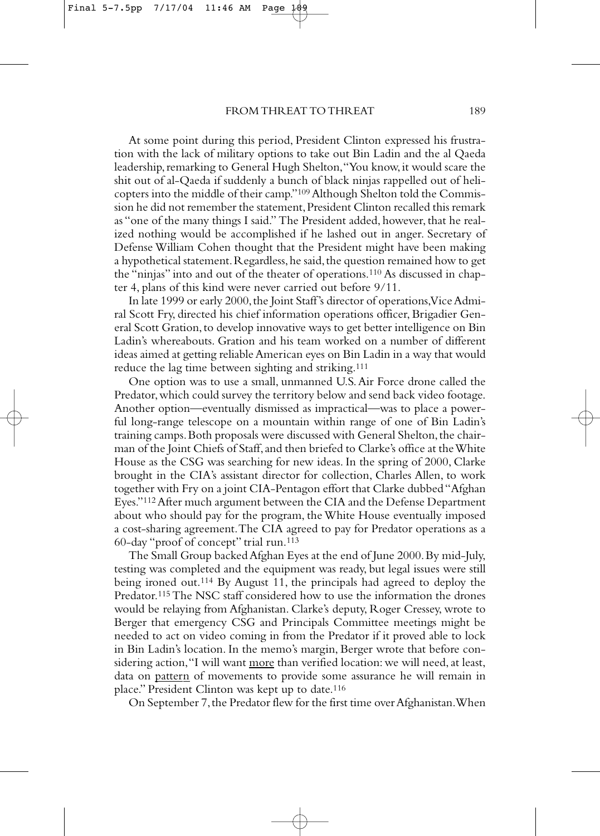At some point during this period, President Clinton expressed his frustration with the lack of military options to take out Bin Ladin and the al Qaeda leadership, remarking to General Hugh Shelton, "You know, it would scare the shit out of al-Qaeda if suddenly a bunch of black ninjas rappelled out of helicopters into the middle of their camp."<sup>109</sup> Although Shelton told the Commission he did not remember the statement,President Clinton recalled this remark as "one of the many things I said." The President added, however, that he realized nothing would be accomplished if he lashed out in anger. Secretary of Defense William Cohen thought that the President might have been making a hypothetical statement. Regardless, he said, the question remained how to get the "ninjas" into and out of the theater of operations.110 As discussed in chapter 4, plans of this kind were never carried out before 9/11.

In late 1999 or early 2000, the Joint Staff's director of operations, Vice Admiral Scott Fry, directed his chief information operations officer, Brigadier General Scott Gration,to develop innovative ways to get better intelligence on Bin Ladin's whereabouts. Gration and his team worked on a number of different ideas aimed at getting reliable American eyes on Bin Ladin in a way that would reduce the lag time between sighting and striking.111

One option was to use a small, unmanned U.S.Air Force drone called the Predator, which could survey the territory below and send back video footage. Another option—eventually dismissed as impractical—was to place a powerful long-range telescope on a mountain within range of one of Bin Ladin's training camps. Both proposals were discussed with General Shelton, the chairman of the Joint Chiefs of Staff,and then briefed to Clarke's office at the White House as the CSG was searching for new ideas. In the spring of 2000, Clarke brought in the CIA's assistant director for collection, Charles Allen, to work together with Fry on a joint CIA-Pentagon effort that Clarke dubbed "Afghan Eyes."112After much argument between the CIA and the Defense Department about who should pay for the program, the White House eventually imposed a cost-sharing agreement.The CIA agreed to pay for Predator operations as a 60-day "proof of concept" trial run.113

The Small Group backed Afghan Eyes at the end of June 2000.By mid-July, testing was completed and the equipment was ready, but legal issues were still being ironed out.114 By August 11, the principals had agreed to deploy the Predator.<sup>115</sup>The NSC staff considered how to use the information the drones would be relaying from Afghanistan. Clarke's deputy, Roger Cressey, wrote to Berger that emergency CSG and Principals Committee meetings might be needed to act on video coming in from the Predator if it proved able to lock in Bin Ladin's location. In the memo's margin, Berger wrote that before considering action,"I will want more than verified location: we will need, at least, data on pattern of movements to provide some assurance he will remain in place." President Clinton was kept up to date.116

On September 7, the Predator flew for the first time over Afghanistan. When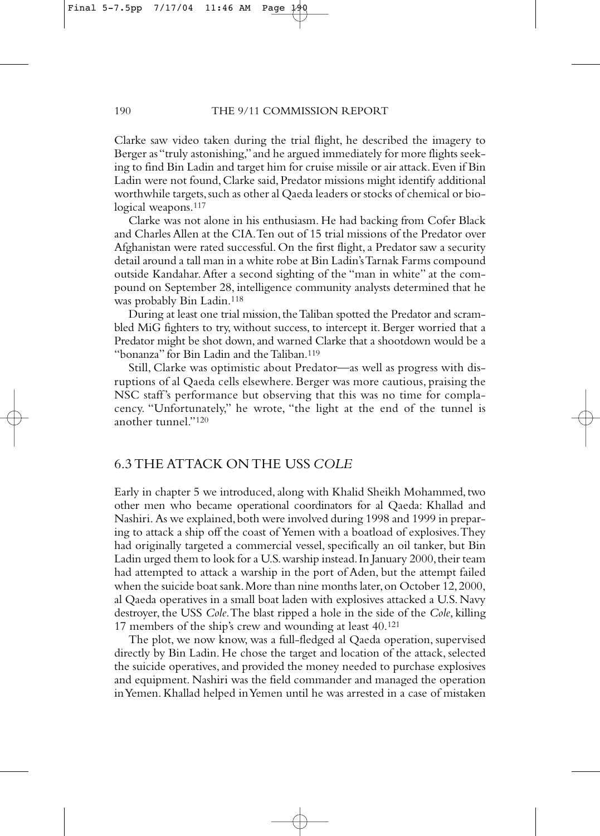Clarke saw video taken during the trial flight, he described the imagery to Berger as "truly astonishing,"and he argued immediately for more flights seeking to find Bin Ladin and target him for cruise missile or air attack.Even if Bin Ladin were not found, Clarke said, Predator missions might identify additional worthwhile targets, such as other al Qaeda leaders or stocks of chemical or biological weapons.117

Clarke was not alone in his enthusiasm. He had backing from Cofer Black and Charles Allen at the CIA.Ten out of 15 trial missions of the Predator over Afghanistan were rated successful. On the first flight, a Predator saw a security detail around a tall man in a white robe at Bin Ladin's Tarnak Farms compound outside Kandahar.After a second sighting of the "man in white" at the compound on September 28, intelligence community analysts determined that he was probably Bin Ladin.118

During at least one trial mission, the Taliban spotted the Predator and scrambled MiG fighters to try, without success, to intercept it. Berger worried that a Predator might be shot down, and warned Clarke that a shootdown would be a "bonanza" for Bin Ladin and the Taliban.119

Still, Clarke was optimistic about Predator—as well as progress with disruptions of al Qaeda cells elsewhere. Berger was more cautious, praising the NSC staff 's performance but observing that this was no time for complacency. "Unfortunately," he wrote, "the light at the end of the tunnel is another tunnel."120

## 6.3 THE ATTACK ON THE USS *COLE*

Early in chapter 5 we introduced, along with Khalid Sheikh Mohammed,two other men who became operational coordinators for al Qaeda: Khallad and Nashiri. As we explained, both were involved during 1998 and 1999 in preparing to attack a ship off the coast of Yemen with a boatload of explosives.They had originally targeted a commercial vessel, specifically an oil tanker, but Bin Ladin urged them to look for a U.S. warship instead. In January 2000, their team had attempted to attack a warship in the port of Aden, but the attempt failed when the suicide boat sank. More than nine months later, on October 12, 2000, al Qaeda operatives in a small boat laden with explosives attacked a U.S. Navy destroyer, the USS *Cole*.The blast ripped a hole in the side of the *Cole*, killing 17 members of the ship's crew and wounding at least 40.121

The plot, we now know, was a full-fledged al Qaeda operation, supervised directly by Bin Ladin. He chose the target and location of the attack, selected the suicide operatives, and provided the money needed to purchase explosives and equipment. Nashiri was the field commander and managed the operation in Yemen. Khallad helped in Yemen until he was arrested in a case of mistaken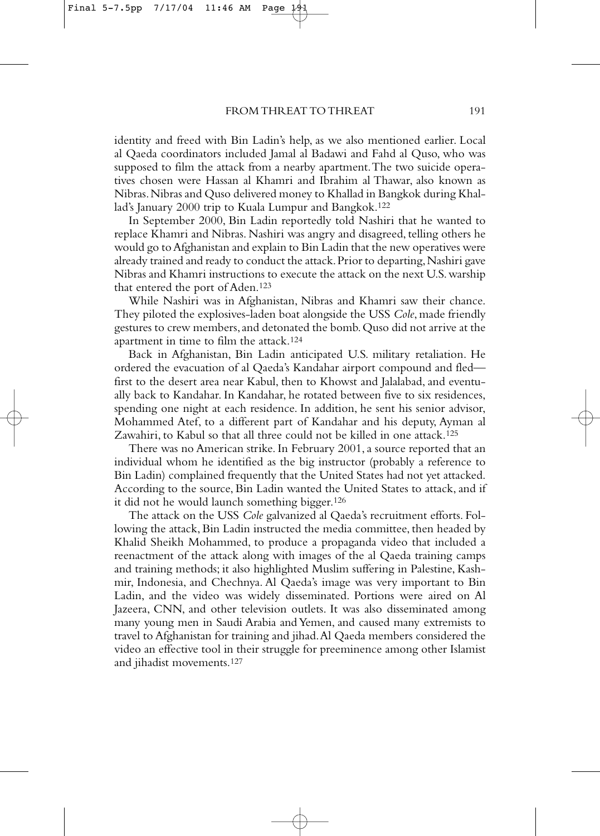identity and freed with Bin Ladin's help, as we also mentioned earlier. Local al Qaeda coordinators included Jamal al Badawi and Fahd al Quso, who was supposed to film the attack from a nearby apartment.The two suicide operatives chosen were Hassan al Khamri and Ibrahim al Thawar, also known as Nibras.Nibras and Quso delivered money to Khallad in Bangkok during Khallad's January 2000 trip to Kuala Lumpur and Bangkok.122

In September 2000, Bin Ladin reportedly told Nashiri that he wanted to replace Khamri and Nibras. Nashiri was angry and disagreed, telling others he would go to Afghanistan and explain to Bin Ladin that the new operatives were already trained and ready to conduct the attack. Prior to departing, Nashiri gave Nibras and Khamri instructions to execute the attack on the next U.S.warship that entered the port of Aden.123

While Nashiri was in Afghanistan, Nibras and Khamri saw their chance. They piloted the explosives-laden boat alongside the USS *Cole*, made friendly gestures to crew members,and detonated the bomb.Quso did not arrive at the apartment in time to film the attack.124

Back in Afghanistan, Bin Ladin anticipated U.S. military retaliation. He ordered the evacuation of al Qaeda's Kandahar airport compound and fled first to the desert area near Kabul, then to Khowst and Jalalabad, and eventually back to Kandahar. In Kandahar, he rotated between five to six residences, spending one night at each residence. In addition, he sent his senior advisor, Mohammed Atef, to a different part of Kandahar and his deputy, Ayman al Zawahiri, to Kabul so that all three could not be killed in one attack.125

There was no American strike. In February 2001, a source reported that an individual whom he identified as the big instructor (probably a reference to Bin Ladin) complained frequently that the United States had not yet attacked. According to the source, Bin Ladin wanted the United States to attack, and if it did not he would launch something bigger.126

The attack on the USS *Cole* galvanized al Qaeda's recruitment efforts. Following the attack, Bin Ladin instructed the media committee, then headed by Khalid Sheikh Mohammed, to produce a propaganda video that included a reenactment of the attack along with images of the al Qaeda training camps and training methods; it also highlighted Muslim suffering in Palestine, Kashmir, Indonesia, and Chechnya. Al Qaeda's image was very important to Bin Ladin, and the video was widely disseminated. Portions were aired on Al Jazeera, CNN, and other television outlets. It was also disseminated among many young men in Saudi Arabia and Yemen, and caused many extremists to travel to Afghanistan for training and jihad.Al Qaeda members considered the video an effective tool in their struggle for preeminence among other Islamist and jihadist movements.127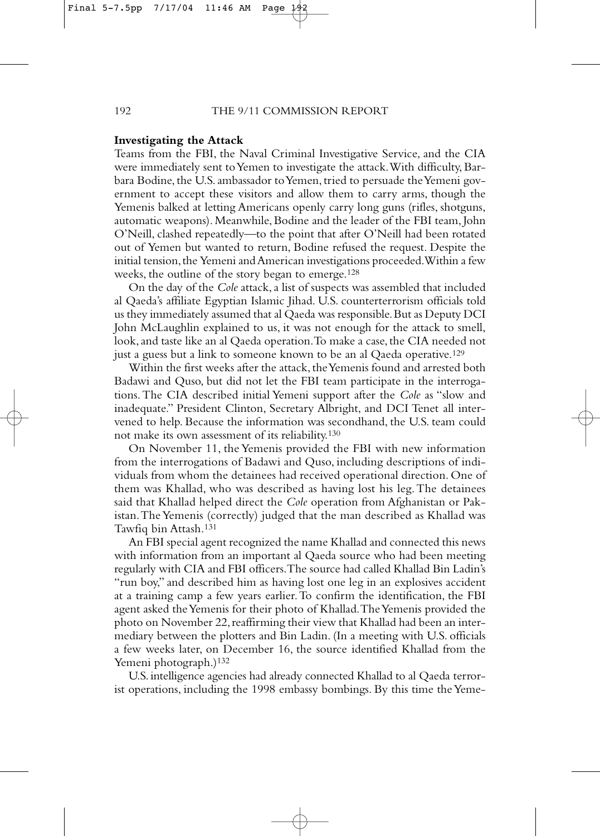#### **Investigating the Attack**

Teams from the FBI, the Naval Criminal Investigative Service, and the CIA were immediately sent to Yemen to investigate the attack.With difficulty, Barbara Bodine, the U.S. ambassador to Yemen, tried to persuade the Yemeni government to accept these visitors and allow them to carry arms, though the Yemenis balked at letting Americans openly carry long guns (rifles, shotguns, automatic weapons). Meanwhile, Bodine and the leader of the FBI team, John O'Neill, clashed repeatedly—to the point that after O'Neill had been rotated out of Yemen but wanted to return, Bodine refused the request. Despite the initial tension, the Yemeni and American investigations proceeded. Within a few weeks, the outline of the story began to emerge.128

On the day of the *Cole* attack, a list of suspects was assembled that included al Qaeda's affiliate Egyptian Islamic Jihad. U.S. counterterrorism officials told us they immediately assumed that al Qaeda was responsible.But as Deputy DCI John McLaughlin explained to us, it was not enough for the attack to smell, look, and taste like an al Qaeda operation.To make a case, the CIA needed not just a guess but a link to someone known to be an al Qaeda operative.129

Within the first weeks after the attack, the Yemenis found and arrested both Badawi and Quso, but did not let the FBI team participate in the interrogations. The CIA described initial Yemeni support after the *Cole* as "slow and inadequate." President Clinton, Secretary Albright, and DCI Tenet all intervened to help. Because the information was secondhand, the U.S. team could not make its own assessment of its reliability.130

On November 11, the Yemenis provided the FBI with new information from the interrogations of Badawi and Quso, including descriptions of individuals from whom the detainees had received operational direction. One of them was Khallad, who was described as having lost his leg.The detainees said that Khallad helped direct the *Cole* operation from Afghanistan or Pakistan.The Yemenis (correctly) judged that the man described as Khallad was Tawfiq bin Attash.131

An FBI special agent recognized the name Khallad and connected this news with information from an important al Qaeda source who had been meeting regularly with CIA and FBI officers.The source had called Khallad Bin Ladin's "run boy," and described him as having lost one leg in an explosives accident at a training camp a few years earlier.To confirm the identification, the FBI agent asked the Yemenis for their photo of Khallad.The Yemenis provided the photo on November 22, reaffirming their view that Khallad had been an intermediary between the plotters and Bin Ladin. (In a meeting with U.S. officials a few weeks later, on December 16, the source identified Khallad from the Yemeni photograph.)<sup>132</sup>

U.S. intelligence agencies had already connected Khallad to al Qaeda terrorist operations, including the 1998 embassy bombings. By this time the Yeme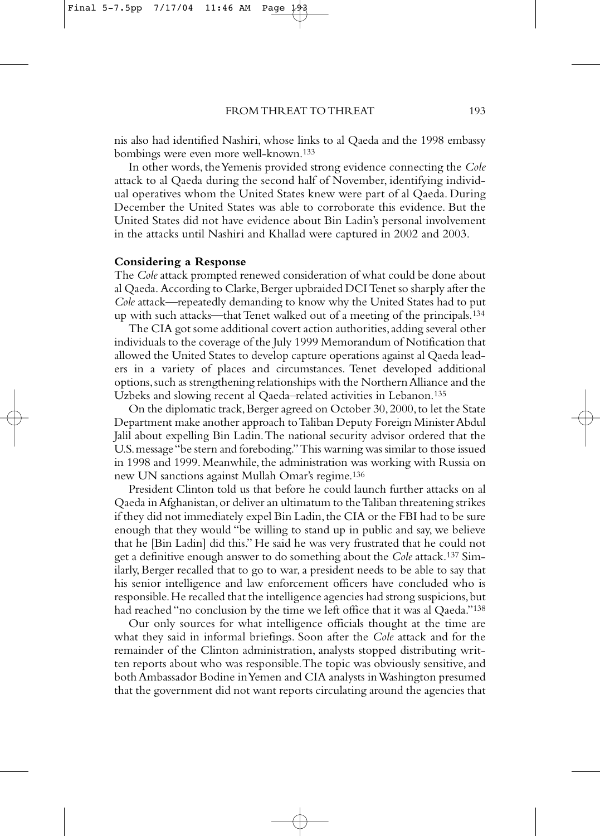nis also had identified Nashiri, whose links to al Qaeda and the 1998 embassy bombings were even more well-known.133

In other words, the Yemenis provided strong evidence connecting the *Cole* attack to al Qaeda during the second half of November, identifying individual operatives whom the United States knew were part of al Qaeda. During December the United States was able to corroborate this evidence. But the United States did not have evidence about Bin Ladin's personal involvement in the attacks until Nashiri and Khallad were captured in 2002 and 2003.

#### **Considering a Response**

The *Cole* attack prompted renewed consideration of what could be done about al Qaeda. According to Clarke, Berger upbraided DCI Tenet so sharply after the *Cole* attack—repeatedly demanding to know why the United States had to put up with such attacks—that Tenet walked out of a meeting of the principals.134

The CIA got some additional covert action authorities, adding several other individuals to the coverage of the July 1999 Memorandum of Notification that allowed the United States to develop capture operations against al Qaeda leaders in a variety of places and circumstances. Tenet developed additional options,such as strengthening relationships with the Northern Alliance and the Uzbeks and slowing recent al Qaeda–related activities in Lebanon.135

On the diplomatic track, Berger agreed on October 30, 2000, to let the State Department make another approach to Taliban Deputy Foreign Minister Abdul Jalil about expelling Bin Ladin.The national security advisor ordered that the U.S.message "be stern and foreboding."This warning was similar to those issued in 1998 and 1999. Meanwhile, the administration was working with Russia on new UN sanctions against Mullah Omar's regime.136

President Clinton told us that before he could launch further attacks on al Qaeda in Afghanistan,or deliver an ultimatum to the Taliban threatening strikes if they did not immediately expel Bin Ladin, the CIA or the FBI had to be sure enough that they would "be willing to stand up in public and say, we believe that he [Bin Ladin] did this." He said he was very frustrated that he could not get a definitive enough answer to do something about the *Cole* attack.137 Similarly, Berger recalled that to go to war, a president needs to be able to say that his senior intelligence and law enforcement officers have concluded who is responsible.He recalled that the intelligence agencies had strong suspicions,but had reached "no conclusion by the time we left office that it was al Qaeda."<sup>138</sup>

Our only sources for what intelligence officials thought at the time are what they said in informal briefings. Soon after the *Cole* attack and for the remainder of the Clinton administration, analysts stopped distributing written reports about who was responsible.The topic was obviously sensitive, and both Ambassador Bodine in Yemen and CIA analysts in Washington presumed that the government did not want reports circulating around the agencies that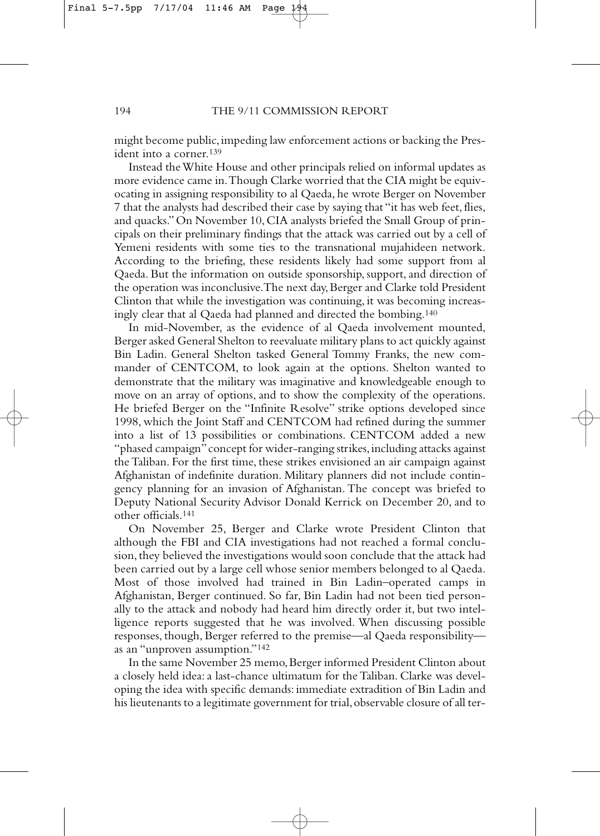might become public,impeding law enforcement actions or backing the President into a corner.139

Instead the White House and other principals relied on informal updates as more evidence came in.Though Clarke worried that the CIA might be equivocating in assigning responsibility to al Qaeda, he wrote Berger on November 7 that the analysts had described their case by saying that "it has web feet, flies, and quacks."On November 10, CIA analysts briefed the Small Group of principals on their preliminary findings that the attack was carried out by a cell of Yemeni residents with some ties to the transnational mujahideen network. According to the briefing, these residents likely had some support from al Qaeda. But the information on outside sponsorship, support, and direction of the operation was inconclusive.The next day,Berger and Clarke told President Clinton that while the investigation was continuing, it was becoming increasingly clear that al Qaeda had planned and directed the bombing.140

In mid-November, as the evidence of al Qaeda involvement mounted, Berger asked General Shelton to reevaluate military plans to act quickly against Bin Ladin. General Shelton tasked General Tommy Franks, the new commander of CENTCOM, to look again at the options. Shelton wanted to demonstrate that the military was imaginative and knowledgeable enough to move on an array of options, and to show the complexity of the operations. He briefed Berger on the "Infinite Resolve" strike options developed since 1998, which the Joint Staff and CENTCOM had refined during the summer into a list of 13 possibilities or combinations. CENTCOM added a new "phased campaign" concept for wider-ranging strikes, including attacks against the Taliban. For the first time, these strikes envisioned an air campaign against Afghanistan of indefinite duration. Military planners did not include contingency planning for an invasion of Afghanistan. The concept was briefed to Deputy National Security Advisor Donald Kerrick on December 20, and to other officials.141

On November 25, Berger and Clarke wrote President Clinton that although the FBI and CIA investigations had not reached a formal conclusion,they believed the investigations would soon conclude that the attack had been carried out by a large cell whose senior members belonged to al Qaeda. Most of those involved had trained in Bin Ladin–operated camps in Afghanistan, Berger continued. So far, Bin Ladin had not been tied personally to the attack and nobody had heard him directly order it, but two intelligence reports suggested that he was involved. When discussing possible responses, though, Berger referred to the premise—al Qaeda responsibility as an "unproven assumption."142

In the same November 25 memo, Berger informed President Clinton about a closely held idea: a last-chance ultimatum for the Taliban. Clarke was developing the idea with specific demands: immediate extradition of Bin Ladin and his lieutenants to a legitimate government for trial, observable closure of all ter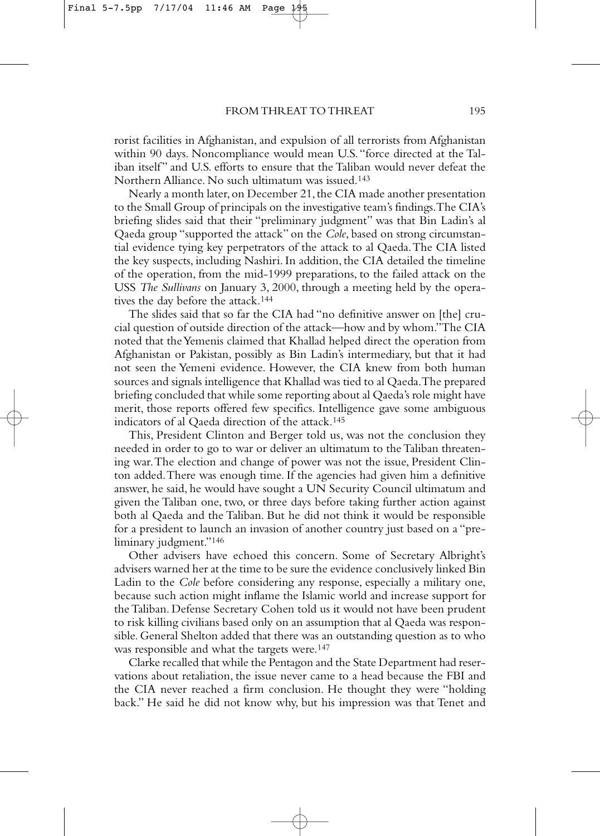rorist facilities in Afghanistan, and expulsion of all terrorists from Afghanistan within 90 days. Noncompliance would mean U.S."force directed at the Taliban itself" and U.S. efforts to ensure that the Taliban would never defeat the Northern Alliance. No such ultimatum was issued.143

Nearly a month later, on December 21, the CIA made another presentation to the Small Group of principals on the investigative team's findings.The CIA's briefing slides said that their "preliminary judgment" was that Bin Ladin's al Qaeda group "supported the attack" on the *Cole*, based on strong circumstantial evidence tying key perpetrators of the attack to al Qaeda.The CIA listed the key suspects, including Nashiri. In addition, the CIA detailed the timeline of the operation, from the mid-1999 preparations, to the failed attack on the USS *The Sullivans* on January 3, 2000, through a meeting held by the operatives the day before the attack.144

The slides said that so far the CIA had "no definitive answer on [the] crucial question of outside direction of the attack—how and by whom."The CIA noted that the Yemenis claimed that Khallad helped direct the operation from Afghanistan or Pakistan, possibly as Bin Ladin's intermediary, but that it had not seen the Yemeni evidence. However, the CIA knew from both human sources and signals intelligence that Khallad was tied to al Qaeda.The prepared briefing concluded that while some reporting about al Qaeda's role might have merit, those reports offered few specifics. Intelligence gave some ambiguous indicators of al Qaeda direction of the attack.145

This, President Clinton and Berger told us, was not the conclusion they needed in order to go to war or deliver an ultimatum to the Taliban threatening war.The election and change of power was not the issue, President Clinton added.There was enough time. If the agencies had given him a definitive answer, he said, he would have sought a UN Security Council ultimatum and given the Taliban one, two, or three days before taking further action against both al Qaeda and the Taliban. But he did not think it would be responsible for a president to launch an invasion of another country just based on a "preliminary judgment."146

Other advisers have echoed this concern. Some of Secretary Albright's advisers warned her at the time to be sure the evidence conclusively linked Bin Ladin to the *Cole* before considering any response, especially a military one, because such action might inflame the Islamic world and increase support for the Taliban. Defense Secretary Cohen told us it would not have been prudent to risk killing civilians based only on an assumption that al Qaeda was responsible. General Shelton added that there was an outstanding question as to who was responsible and what the targets were.147

Clarke recalled that while the Pentagon and the State Department had reservations about retaliation, the issue never came to a head because the FBI and the CIA never reached a firm conclusion. He thought they were "holding back." He said he did not know why, but his impression was that Tenet and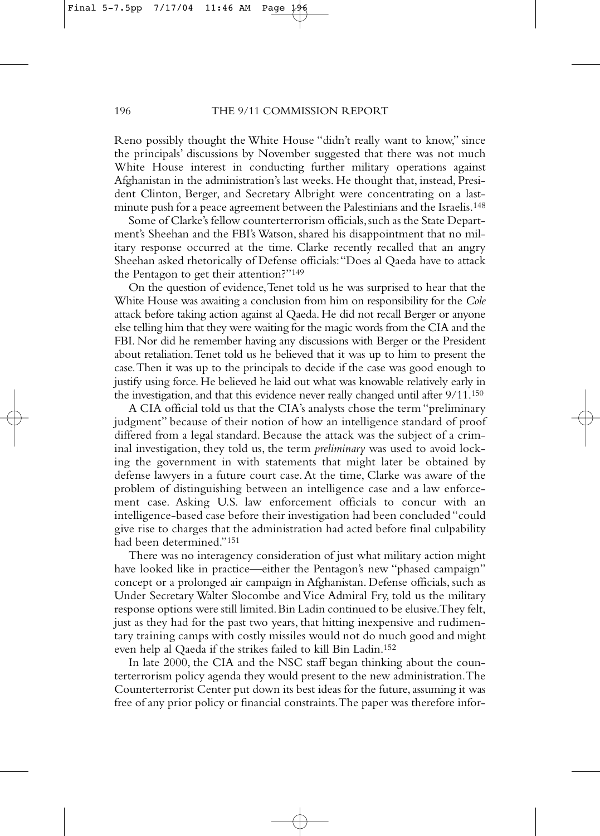Reno possibly thought the White House "didn't really want to know," since the principals' discussions by November suggested that there was not much White House interest in conducting further military operations against Afghanistan in the administration's last weeks. He thought that, instead, President Clinton, Berger, and Secretary Albright were concentrating on a lastminute push for a peace agreement between the Palestinians and the Israelis.<sup>148</sup>

Some of Clarke's fellow counterterrorism officials, such as the State Department's Sheehan and the FBI's Watson, shared his disappointment that no military response occurred at the time. Clarke recently recalled that an angry Sheehan asked rhetorically of Defense officials:"Does al Qaeda have to attack the Pentagon to get their attention?"149

On the question of evidence,Tenet told us he was surprised to hear that the White House was awaiting a conclusion from him on responsibility for the *Cole* attack before taking action against al Qaeda. He did not recall Berger or anyone else telling him that they were waiting for the magic words from the CIA and the FBI. Nor did he remember having any discussions with Berger or the President about retaliation.Tenet told us he believed that it was up to him to present the case.Then it was up to the principals to decide if the case was good enough to justify using force. He believed he laid out what was knowable relatively early in the investigation, and that this evidence never really changed until after 9/11.150

A CIA official told us that the CIA's analysts chose the term "preliminary judgment" because of their notion of how an intelligence standard of proof differed from a legal standard. Because the attack was the subject of a criminal investigation, they told us, the term *preliminary* was used to avoid locking the government in with statements that might later be obtained by defense lawyers in a future court case. At the time, Clarke was aware of the problem of distinguishing between an intelligence case and a law enforcement case. Asking U.S. law enforcement officials to concur with an intelligence-based case before their investigation had been concluded "could give rise to charges that the administration had acted before final culpability had been determined."151

There was no interagency consideration of just what military action might have looked like in practice—either the Pentagon's new "phased campaign" concept or a prolonged air campaign in Afghanistan. Defense officials, such as Under Secretary Walter Slocombe and Vice Admiral Fry, told us the military response options were still limited.Bin Ladin continued to be elusive.They felt, just as they had for the past two years, that hitting inexpensive and rudimentary training camps with costly missiles would not do much good and might even help al Qaeda if the strikes failed to kill Bin Ladin.152

In late 2000, the CIA and the NSC staff began thinking about the counterterrorism policy agenda they would present to the new administration.The Counterterrorist Center put down its best ideas for the future, assuming it was free of any prior policy or financial constraints.The paper was therefore infor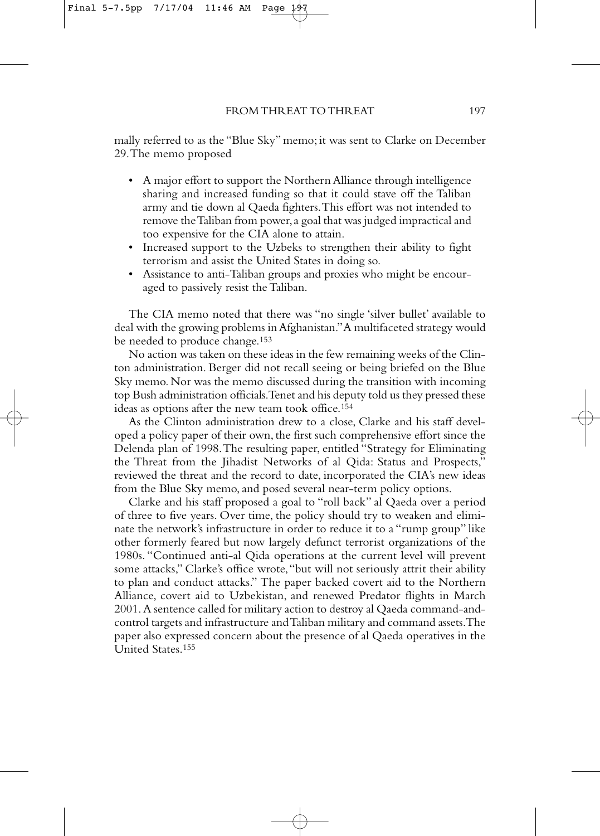mally referred to as the "Blue Sky" memo; it was sent to Clarke on December 29.The memo proposed

- A major effort to support the Northern Alliance through intelligence sharing and increased funding so that it could stave off the Taliban army and tie down al Qaeda fighters.This effort was not intended to remove the Taliban from power,a goal that was judged impractical and too expensive for the CIA alone to attain.
- Increased support to the Uzbeks to strengthen their ability to fight terrorism and assist the United States in doing so.
- Assistance to anti-Taliban groups and proxies who might be encouraged to passively resist the Taliban.

The CIA memo noted that there was "no single 'silver bullet' available to deal with the growing problems in Afghanistan."A multifaceted strategy would be needed to produce change.153

No action was taken on these ideas in the few remaining weeks of the Clinton administration. Berger did not recall seeing or being briefed on the Blue Sky memo. Nor was the memo discussed during the transition with incoming top Bush administration officials.Tenet and his deputy told us they pressed these ideas as options after the new team took office.154

As the Clinton administration drew to a close, Clarke and his staff developed a policy paper of their own, the first such comprehensive effort since the Delenda plan of 1998.The resulting paper, entitled "Strategy for Eliminating the Threat from the Jihadist Networks of al Qida: Status and Prospects," reviewed the threat and the record to date, incorporated the CIA's new ideas from the Blue Sky memo, and posed several near-term policy options.

Clarke and his staff proposed a goal to "roll back" al Qaeda over a period of three to five years. Over time, the policy should try to weaken and eliminate the network's infrastructure in order to reduce it to a "rump group" like other formerly feared but now largely defunct terrorist organizations of the 1980s. "Continued anti-al Qida operations at the current level will prevent some attacks," Clarke's office wrote,"but will not seriously attrit their ability to plan and conduct attacks." The paper backed covert aid to the Northern Alliance, covert aid to Uzbekistan, and renewed Predator flights in March 2001.A sentence called for military action to destroy al Qaeda command-andcontrol targets and infrastructure and Taliban military and command assets.The paper also expressed concern about the presence of al Qaeda operatives in the United States.155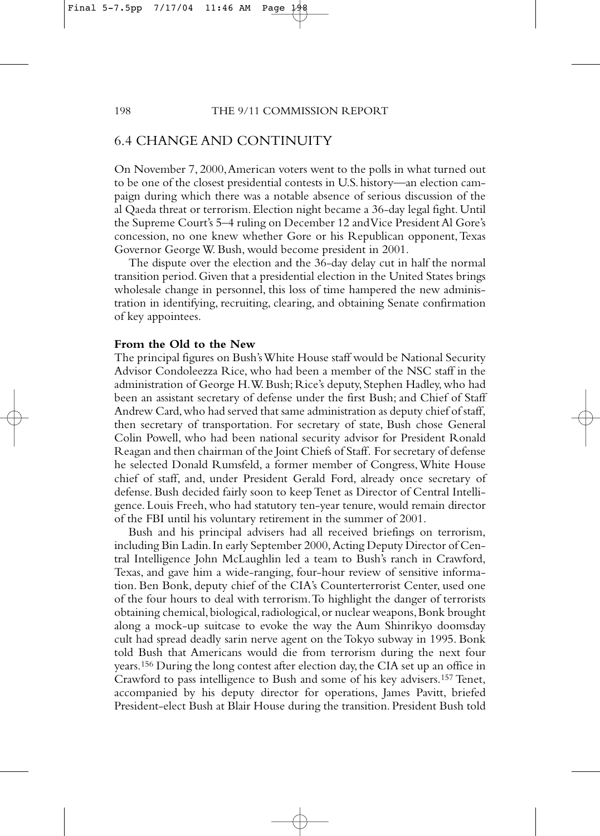## 6.4 CHANGE AND CONTINUITY

On November 7, 2000,American voters went to the polls in what turned out to be one of the closest presidential contests in U.S. history—an election campaign during which there was a notable absence of serious discussion of the al Qaeda threat or terrorism. Election night became a 36-day legal fight. Until the Supreme Court's 5–4 ruling on December 12 and Vice President Al Gore's concession, no one knew whether Gore or his Republican opponent, Texas Governor George W. Bush, would become president in 2001.

The dispute over the election and the 36-day delay cut in half the normal transition period. Given that a presidential election in the United States brings wholesale change in personnel, this loss of time hampered the new administration in identifying, recruiting, clearing, and obtaining Senate confirmation of key appointees.

## **From the Old to the New**

The principal figures on Bush's White House staff would be National Security Advisor Condoleezza Rice, who had been a member of the NSC staff in the administration of George H.W. Bush; Rice's deputy, Stephen Hadley, who had been an assistant secretary of defense under the first Bush; and Chief of Staff Andrew Card,who had served that same administration as deputy chief of staff, then secretary of transportation. For secretary of state, Bush chose General Colin Powell, who had been national security advisor for President Ronald Reagan and then chairman of the Joint Chiefs of Staff. For secretary of defense he selected Donald Rumsfeld, a former member of Congress,White House chief of staff, and, under President Gerald Ford, already once secretary of defense. Bush decided fairly soon to keep Tenet as Director of Central Intelligence. Louis Freeh, who had statutory ten-year tenure, would remain director of the FBI until his voluntary retirement in the summer of 2001.

Bush and his principal advisers had all received briefings on terrorism, including Bin Ladin. In early September 2000, Acting Deputy Director of Central Intelligence John McLaughlin led a team to Bush's ranch in Crawford, Texas, and gave him a wide-ranging, four-hour review of sensitive information. Ben Bonk, deputy chief of the CIA's Counterterrorist Center, used one of the four hours to deal with terrorism.To highlight the danger of terrorists obtaining chemical, biological, radiological, or nuclear weapons, Bonk brought along a mock-up suitcase to evoke the way the Aum Shinrikyo doomsday cult had spread deadly sarin nerve agent on the Tokyo subway in 1995. Bonk told Bush that Americans would die from terrorism during the next four years.156 During the long contest after election day, the CIA set up an office in Crawford to pass intelligence to Bush and some of his key advisers.157 Tenet, accompanied by his deputy director for operations, James Pavitt, briefed President-elect Bush at Blair House during the transition. President Bush told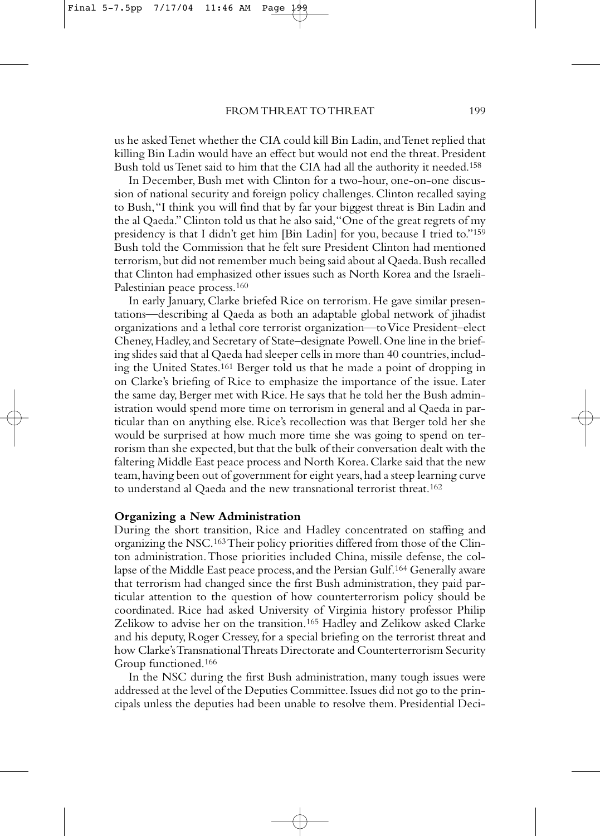us he asked Tenet whether the CIA could kill Bin Ladin,and Tenet replied that killing Bin Ladin would have an effect but would not end the threat. President Bush told us Tenet said to him that the CIA had all the authority it needed.158

In December, Bush met with Clinton for a two-hour, one-on-one discussion of national security and foreign policy challenges. Clinton recalled saying to Bush,"I think you will find that by far your biggest threat is Bin Ladin and the al Qaeda."Clinton told us that he also said,"One of the great regrets of my presidency is that I didn't get him [Bin Ladin] for you, because I tried to."159 Bush told the Commission that he felt sure President Clinton had mentioned terrorism, but did not remember much being said about al Qaeda. Bush recalled that Clinton had emphasized other issues such as North Korea and the Israeli-Palestinian peace process.160

In early January, Clarke briefed Rice on terrorism. He gave similar presentations—describing al Qaeda as both an adaptable global network of jihadist organizations and a lethal core terrorist organization—to Vice President–elect Cheney,Hadley,and Secretary of State–designate Powell.One line in the briefing slides said that al Qaeda had sleeper cells in more than 40 countries, including the United States.161 Berger told us that he made a point of dropping in on Clarke's briefing of Rice to emphasize the importance of the issue. Later the same day, Berger met with Rice. He says that he told her the Bush administration would spend more time on terrorism in general and al Qaeda in particular than on anything else. Rice's recollection was that Berger told her she would be surprised at how much more time she was going to spend on terrorism than she expected, but that the bulk of their conversation dealt with the faltering Middle East peace process and North Korea.Clarke said that the new team,having been out of government for eight years,had a steep learning curve to understand al Qaeda and the new transnational terrorist threat.162

## **Organizing a New Administration**

During the short transition, Rice and Hadley concentrated on staffing and organizing the NSC.163Their policy priorities differed from those of the Clinton administration.Those priorities included China, missile defense, the collapse of the Middle East peace process, and the Persian Gulf.<sup>164</sup> Generally aware that terrorism had changed since the first Bush administration, they paid particular attention to the question of how counterterrorism policy should be coordinated. Rice had asked University of Virginia history professor Philip Zelikow to advise her on the transition.165 Hadley and Zelikow asked Clarke and his deputy, Roger Cressey, for a special briefing on the terrorist threat and how Clarke's Transnational Threats Directorate and Counterterrorism Security Group functioned.166

In the NSC during the first Bush administration, many tough issues were addressed at the level of the Deputies Committee.Issues did not go to the principals unless the deputies had been unable to resolve them. Presidential Deci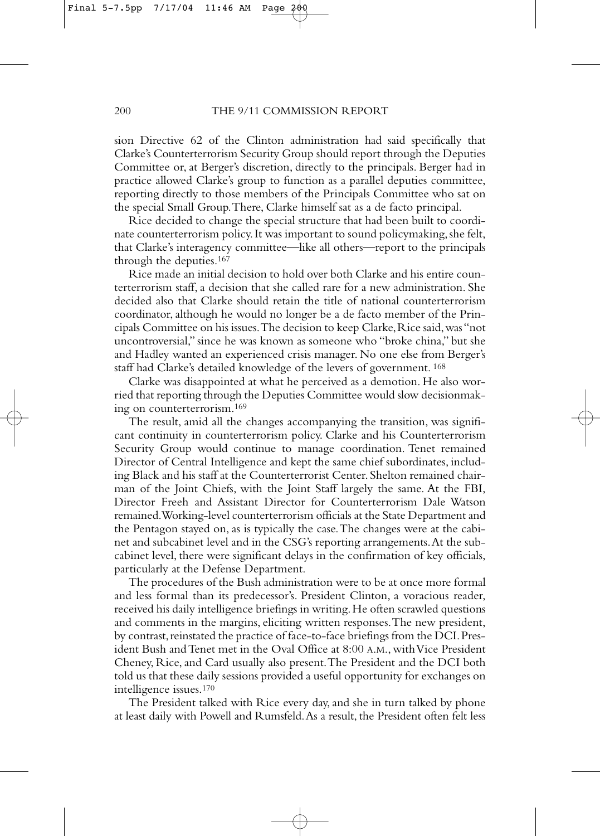sion Directive 62 of the Clinton administration had said specifically that Clarke's Counterterrorism Security Group should report through the Deputies Committee or, at Berger's discretion, directly to the principals. Berger had in practice allowed Clarke's group to function as a parallel deputies committee, reporting directly to those members of the Principals Committee who sat on the special Small Group.There, Clarke himself sat as a de facto principal.

Rice decided to change the special structure that had been built to coordinate counterterrorism policy. It was important to sound policymaking, she felt, that Clarke's interagency committee—like all others—report to the principals through the deputies.167

Rice made an initial decision to hold over both Clarke and his entire counterterrorism staff, a decision that she called rare for a new administration. She decided also that Clarke should retain the title of national counterterrorism coordinator, although he would no longer be a de facto member of the Principals Committee on his issues.The decision to keep Clarke,Rice said,was "not uncontroversial," since he was known as someone who "broke china," but she and Hadley wanted an experienced crisis manager. No one else from Berger's staff had Clarke's detailed knowledge of the levers of government. <sup>168</sup>

Clarke was disappointed at what he perceived as a demotion. He also worried that reporting through the Deputies Committee would slow decisionmaking on counterterrorism.169

The result, amid all the changes accompanying the transition, was significant continuity in counterterrorism policy. Clarke and his Counterterrorism Security Group would continue to manage coordination. Tenet remained Director of Central Intelligence and kept the same chief subordinates, including Black and his staff at the Counterterrorist Center.Shelton remained chairman of the Joint Chiefs, with the Joint Staff largely the same. At the FBI, Director Freeh and Assistant Director for Counterterrorism Dale Watson remained.Working-level counterterrorism officials at the State Department and the Pentagon stayed on, as is typically the case.The changes were at the cabinet and subcabinet level and in the CSG's reporting arrangements.At the subcabinet level, there were significant delays in the confirmation of key officials, particularly at the Defense Department.

The procedures of the Bush administration were to be at once more formal and less formal than its predecessor's. President Clinton, a voracious reader, received his daily intelligence briefings in writing.He often scrawled questions and comments in the margins, eliciting written responses.The new president, by contrast, reinstated the practice of face-to-face briefings from the DCI. President Bush and Tenet met in the Oval Office at 8:00 A.M., with Vice President Cheney, Rice, and Card usually also present.The President and the DCI both told us that these daily sessions provided a useful opportunity for exchanges on intelligence issues.170

The President talked with Rice every day, and she in turn talked by phone at least daily with Powell and Rumsfeld.As a result, the President often felt less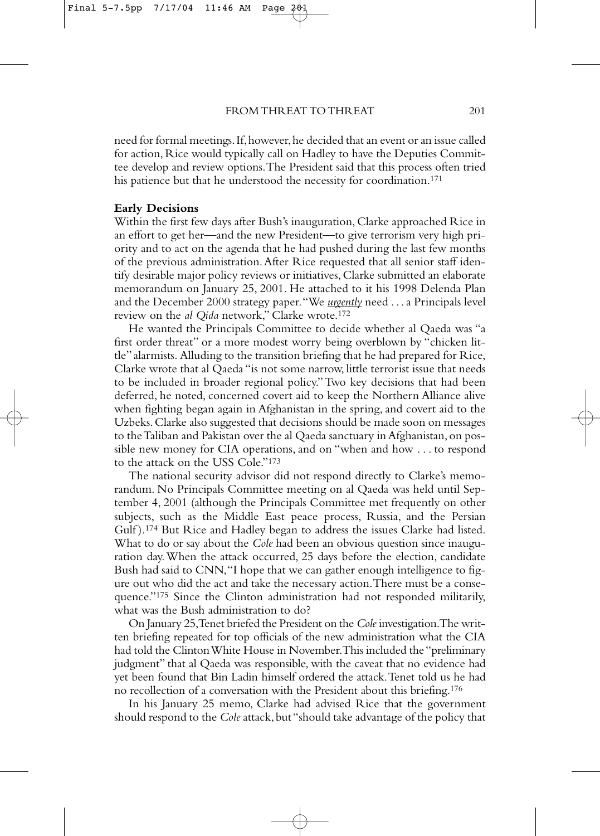need for formal meetings.If,however,he decided that an event or an issue called for action, Rice would typically call on Hadley to have the Deputies Committee develop and review options.The President said that this process often tried his patience but that he understood the necessity for coordination.<sup>171</sup>

#### **Early Decisions**

Within the first few days after Bush's inauguration, Clarke approached Rice in an effort to get her—and the new President—to give terrorism very high priority and to act on the agenda that he had pushed during the last few months of the previous administration.After Rice requested that all senior staff identify desirable major policy reviews or initiatives, Clarke submitted an elaborate memorandum on January 25, 2001. He attached to it his 1998 Delenda Plan and the December 2000 strategy paper."We *urgently* need . . . a Principals level review on the *al Qida* network," Clarke wrote.172

He wanted the Principals Committee to decide whether al Qaeda was "a first order threat" or a more modest worry being overblown by "chicken little"alarmists. Alluding to the transition briefing that he had prepared for Rice, Clarke wrote that al Qaeda "is not some narrow, little terrorist issue that needs to be included in broader regional policy."Two key decisions that had been deferred, he noted, concerned covert aid to keep the Northern Alliance alive when fighting began again in Afghanistan in the spring, and covert aid to the Uzbeks.Clarke also suggested that decisions should be made soon on messages to the Taliban and Pakistan over the al Qaeda sanctuary in Afghanistan, on possible new money for CIA operations, and on "when and how . . . to respond to the attack on the USS Cole."173

The national security advisor did not respond directly to Clarke's memorandum. No Principals Committee meeting on al Qaeda was held until September 4, 2001 (although the Principals Committee met frequently on other subjects, such as the Middle East peace process, Russia, and the Persian Gulf ).174 But Rice and Hadley began to address the issues Clarke had listed. What to do or say about the *Cole* had been an obvious question since inauguration day.When the attack occurred, 25 days before the election, candidate Bush had said to CNN,"I hope that we can gather enough intelligence to figure out who did the act and take the necessary action.There must be a consequence."175 Since the Clinton administration had not responded militarily, what was the Bush administration to do?

On January 25,Tenet briefed the President on the *Cole* investigation.The written briefing repeated for top officials of the new administration what the CIA had told the Clinton White House in November.This included the "preliminary judgment" that al Qaeda was responsible, with the caveat that no evidence had yet been found that Bin Ladin himself ordered the attack.Tenet told us he had no recollection of a conversation with the President about this briefing.176

In his January 25 memo, Clarke had advised Rice that the government should respond to the *Cole* attack, but "should take advantage of the policy that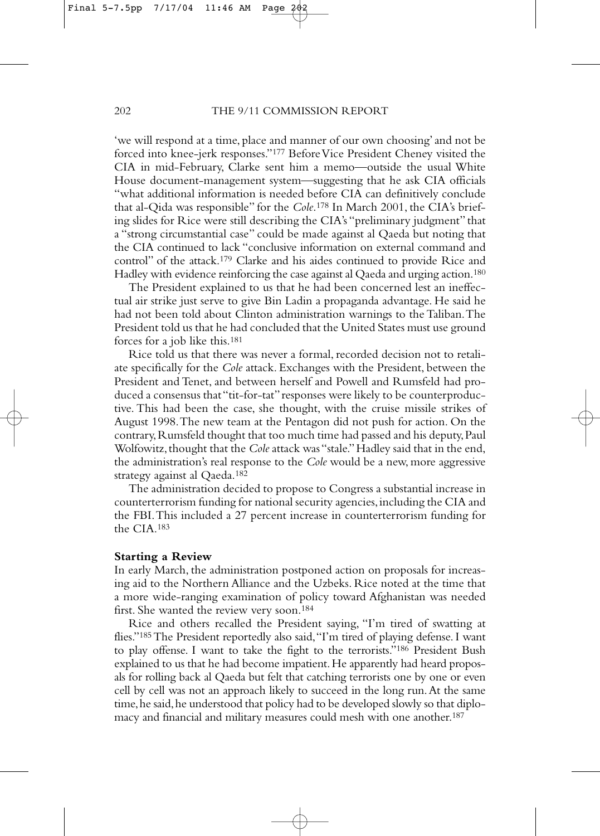'we will respond at a time, place and manner of our own choosing' and not be forced into knee-jerk responses."177 Before Vice President Cheney visited the CIA in mid-February, Clarke sent him a memo—outside the usual White House document-management system—suggesting that he ask CIA officials "what additional information is needed before CIA can definitively conclude that al-Qida was responsible" for the *Cole*.178 In March 2001, the CIA's briefing slides for Rice were still describing the CIA's "preliminary judgment" that a "strong circumstantial case" could be made against al Qaeda but noting that the CIA continued to lack "conclusive information on external command and control" of the attack.179 Clarke and his aides continued to provide Rice and Hadley with evidence reinforcing the case against al Qaeda and urging action.<sup>180</sup>

The President explained to us that he had been concerned lest an ineffectual air strike just serve to give Bin Ladin a propaganda advantage. He said he had not been told about Clinton administration warnings to the Taliban.The President told us that he had concluded that the United States must use ground forces for a job like this.181

Rice told us that there was never a formal, recorded decision not to retaliate specifically for the *Cole* attack. Exchanges with the President, between the President and Tenet, and between herself and Powell and Rumsfeld had produced a consensus that "tit-for-tat" responses were likely to be counterproductive. This had been the case, she thought, with the cruise missile strikes of August 1998.The new team at the Pentagon did not push for action. On the contrary,Rumsfeld thought that too much time had passed and his deputy,Paul Wolfowitz, thought that the *Cole* attack was "stale." Hadley said that in the end, the administration's real response to the *Cole* would be a new, more aggressive strategy against al Qaeda.182

The administration decided to propose to Congress a substantial increase in counterterrorism funding for national security agencies,including the CIA and the FBI.This included a 27 percent increase in counterterrorism funding for the CIA.183

#### **Starting a Review**

In early March, the administration postponed action on proposals for increasing aid to the Northern Alliance and the Uzbeks. Rice noted at the time that a more wide-ranging examination of policy toward Afghanistan was needed first. She wanted the review very soon.184

Rice and others recalled the President saying, "I'm tired of swatting at flies."185The President reportedly also said,"I'm tired of playing defense. I want to play offense. I want to take the fight to the terrorists."186 President Bush explained to us that he had become impatient. He apparently had heard proposals for rolling back al Qaeda but felt that catching terrorists one by one or even cell by cell was not an approach likely to succeed in the long run.At the same time, he said, he understood that policy had to be developed slowly so that diplomacy and financial and military measures could mesh with one another.187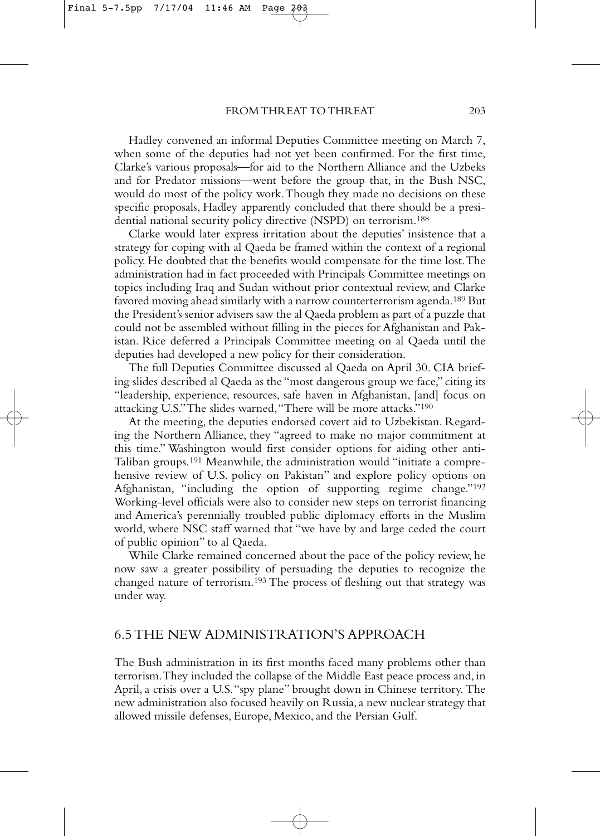Hadley convened an informal Deputies Committee meeting on March 7, when some of the deputies had not yet been confirmed. For the first time, Clarke's various proposals—for aid to the Northern Alliance and the Uzbeks and for Predator missions—went before the group that, in the Bush NSC, would do most of the policy work.Though they made no decisions on these specific proposals, Hadley apparently concluded that there should be a presidential national security policy directive (NSPD) on terrorism.188

Clarke would later express irritation about the deputies' insistence that a strategy for coping with al Qaeda be framed within the context of a regional policy. He doubted that the benefits would compensate for the time lost.The administration had in fact proceeded with Principals Committee meetings on topics including Iraq and Sudan without prior contextual review, and Clarke favored moving ahead similarly with a narrow counterterrorism agenda.<sup>189</sup> But the President's senior advisers saw the al Qaeda problem as part of a puzzle that could not be assembled without filling in the pieces for Afghanistan and Pakistan. Rice deferred a Principals Committee meeting on al Qaeda until the deputies had developed a new policy for their consideration.

The full Deputies Committee discussed al Qaeda on April 30. CIA briefing slides described al Qaeda as the "most dangerous group we face," citing its "leadership, experience, resources, safe haven in Afghanistan, [and] focus on attacking U.S."The slides warned,"There will be more attacks."190

At the meeting, the deputies endorsed covert aid to Uzbekistan. Regarding the Northern Alliance, they "agreed to make no major commitment at this time." Washington would first consider options for aiding other anti-Taliban groups.191 Meanwhile, the administration would "initiate a comprehensive review of U.S. policy on Pakistan" and explore policy options on Afghanistan, "including the option of supporting regime change."192 Working-level officials were also to consider new steps on terrorist financing and America's perennially troubled public diplomacy efforts in the Muslim world, where NSC staff warned that "we have by and large ceded the court of public opinion" to al Qaeda.

While Clarke remained concerned about the pace of the policy review, he now saw a greater possibility of persuading the deputies to recognize the changed nature of terrorism.193 The process of fleshing out that strategy was under way.

# 6.5 THE NEW ADMINISTRATION'S APPROACH

The Bush administration in its first months faced many problems other than terrorism.They included the collapse of the Middle East peace process and, in April, a crisis over a U.S."spy plane" brought down in Chinese territory. The new administration also focused heavily on Russia, a new nuclear strategy that allowed missile defenses, Europe, Mexico, and the Persian Gulf.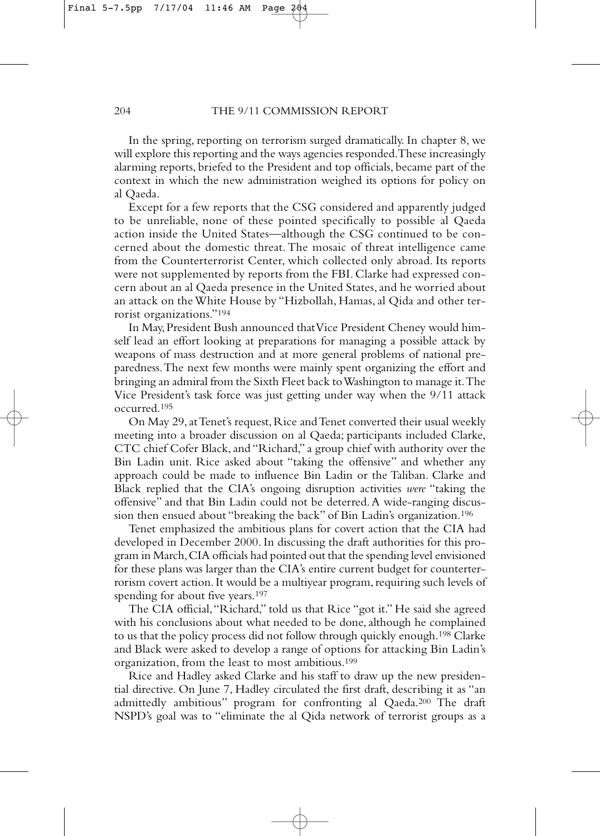In the spring, reporting on terrorism surged dramatically. In chapter 8, we will explore this reporting and the ways agencies responded.These increasingly alarming reports, briefed to the President and top officials, became part of the context in which the new administration weighed its options for policy on al Qaeda.

Except for a few reports that the CSG considered and apparently judged to be unreliable, none of these pointed specifically to possible al Qaeda action inside the United States—although the CSG continued to be concerned about the domestic threat. The mosaic of threat intelligence came from the Counterterrorist Center, which collected only abroad. Its reports were not supplemented by reports from the FBI. Clarke had expressed concern about an al Qaeda presence in the United States, and he worried about an attack on the White House by "Hizbollah, Hamas, al Qida and other terrorist organizations."194

In May,President Bush announced that Vice President Cheney would himself lead an effort looking at preparations for managing a possible attack by weapons of mass destruction and at more general problems of national preparedness.The next few months were mainly spent organizing the effort and bringing an admiral from the Sixth Fleet back to Washington to manage it.The Vice President's task force was just getting under way when the 9/11 attack occurred.195

On May 29, at Tenet's request, Rice and Tenet converted their usual weekly meeting into a broader discussion on al Qaeda; participants included Clarke, CTC chief Cofer Black, and "Richard," a group chief with authority over the Bin Ladin unit. Rice asked about "taking the offensive" and whether any approach could be made to influence Bin Ladin or the Taliban. Clarke and Black replied that the CIA's ongoing disruption activities *were* "taking the offensive" and that Bin Ladin could not be deterred.A wide-ranging discussion then ensued about "breaking the back" of Bin Ladin's organization.196

Tenet emphasized the ambitious plans for covert action that the CIA had developed in December 2000. In discussing the draft authorities for this program in March,CIA officials had pointed out that the spending level envisioned for these plans was larger than the CIA's entire current budget for counterterrorism covert action. It would be a multiyear program, requiring such levels of spending for about five years.197

The CIA official,"Richard," told us that Rice "got it." He said she agreed with his conclusions about what needed to be done, although he complained to us that the policy process did not follow through quickly enough.<sup>198</sup> Clarke and Black were asked to develop a range of options for attacking Bin Ladin's organization, from the least to most ambitious.199

Rice and Hadley asked Clarke and his staff to draw up the new presidential directive. On June 7, Hadley circulated the first draft, describing it as "an admittedly ambitious" program for confronting al Qaeda.200 The draft NSPD's goal was to "eliminate the al Qida network of terrorist groups as a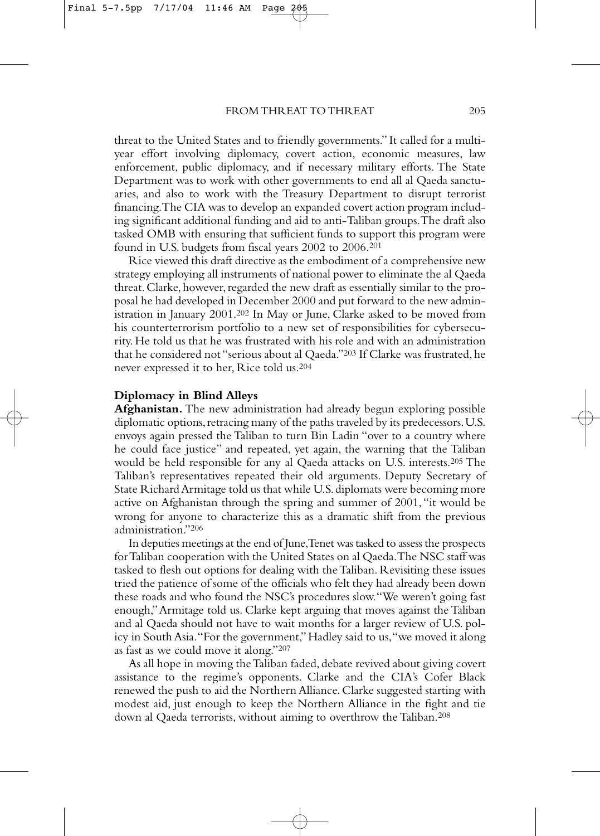threat to the United States and to friendly governments." It called for a multiyear effort involving diplomacy, covert action, economic measures, law enforcement, public diplomacy, and if necessary military efforts. The State Department was to work with other governments to end all al Qaeda sanctuaries, and also to work with the Treasury Department to disrupt terrorist financing.The CIA was to develop an expanded covert action program including significant additional funding and aid to anti-Taliban groups.The draft also tasked OMB with ensuring that sufficient funds to support this program were found in U.S. budgets from fiscal years 2002 to 2006.201

Rice viewed this draft directive as the embodiment of a comprehensive new strategy employing all instruments of national power to eliminate the al Qaeda threat. Clarke, however, regarded the new draft as essentially similar to the proposal he had developed in December 2000 and put forward to the new administration in January 2001.202 In May or June, Clarke asked to be moved from his counterterrorism portfolio to a new set of responsibilities for cybersecurity. He told us that he was frustrated with his role and with an administration that he considered not "serious about al Qaeda."<sup>203</sup> If Clarke was frustrated, he never expressed it to her, Rice told us.204

#### **Diplomacy in Blind Alleys**

**Afghanistan.** The new administration had already begun exploring possible diplomatic options, retracing many of the paths traveled by its predecessors. U.S. envoys again pressed the Taliban to turn Bin Ladin "over to a country where he could face justice" and repeated, yet again, the warning that the Taliban would be held responsible for any al Qaeda attacks on U.S. interests.205 The Taliban's representatives repeated their old arguments. Deputy Secretary of State Richard Armitage told us that while U.S.diplomats were becoming more active on Afghanistan through the spring and summer of 2001,"it would be wrong for anyone to characterize this as a dramatic shift from the previous administration."206

In deputies meetings at the end of June,Tenet was tasked to assess the prospects for Taliban cooperation with the United States on al Qaeda.The NSC staff was tasked to flesh out options for dealing with the Taliban. Revisiting these issues tried the patience of some of the officials who felt they had already been down these roads and who found the NSC's procedures slow."We weren't going fast enough,"Armitage told us. Clarke kept arguing that moves against the Taliban and al Qaeda should not have to wait months for a larger review of U.S. policy in South Asia."For the government,"Hadley said to us,"we moved it along as fast as we could move it along."207

As all hope in moving the Taliban faded, debate revived about giving covert assistance to the regime's opponents. Clarke and the CIA's Cofer Black renewed the push to aid the Northern Alliance. Clarke suggested starting with modest aid, just enough to keep the Northern Alliance in the fight and tie down al Qaeda terrorists, without aiming to overthrow the Taliban.208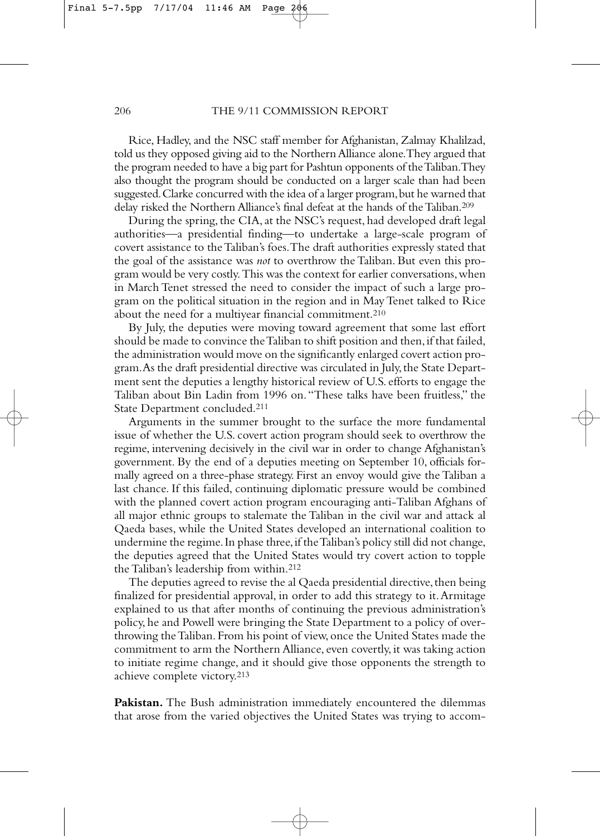Rice, Hadley, and the NSC staff member for Afghanistan, Zalmay Khalilzad, told us they opposed giving aid to the Northern Alliance alone.They argued that the program needed to have a big part for Pashtun opponents of the Taliban.They also thought the program should be conducted on a larger scale than had been suggested. Clarke concurred with the idea of a larger program, but he warned that delay risked the Northern Alliance's final defeat at the hands of the Taliban.209

During the spring, the CIA, at the NSC's request, had developed draft legal authorities—a presidential finding—to undertake a large-scale program of covert assistance to the Taliban's foes.The draft authorities expressly stated that the goal of the assistance was *not* to overthrow the Taliban. But even this program would be very costly. This was the context for earlier conversations, when in March Tenet stressed the need to consider the impact of such a large program on the political situation in the region and in May Tenet talked to Rice about the need for a multiyear financial commitment.210

By July, the deputies were moving toward agreement that some last effort should be made to convince the Taliban to shift position and then, if that failed, the administration would move on the significantly enlarged covert action program.As the draft presidential directive was circulated in July,the State Department sent the deputies a lengthy historical review of U.S. efforts to engage the Taliban about Bin Ladin from 1996 on."These talks have been fruitless," the State Department concluded.211

Arguments in the summer brought to the surface the more fundamental issue of whether the U.S. covert action program should seek to overthrow the regime, intervening decisively in the civil war in order to change Afghanistan's government. By the end of a deputies meeting on September 10, officials formally agreed on a three-phase strategy. First an envoy would give the Taliban a last chance. If this failed, continuing diplomatic pressure would be combined with the planned covert action program encouraging anti-Taliban Afghans of all major ethnic groups to stalemate the Taliban in the civil war and attack al Qaeda bases, while the United States developed an international coalition to undermine the regime. In phase three, if the Taliban's policy still did not change, the deputies agreed that the United States would try covert action to topple the Taliban's leadership from within.212

The deputies agreed to revise the al Qaeda presidential directive, then being finalized for presidential approval, in order to add this strategy to it.Armitage explained to us that after months of continuing the previous administration's policy, he and Powell were bringing the State Department to a policy of overthrowing the Taliban. From his point of view, once the United States made the commitment to arm the Northern Alliance, even covertly, it was taking action to initiate regime change, and it should give those opponents the strength to achieve complete victory.213

**Pakistan.** The Bush administration immediately encountered the dilemmas that arose from the varied objectives the United States was trying to accom-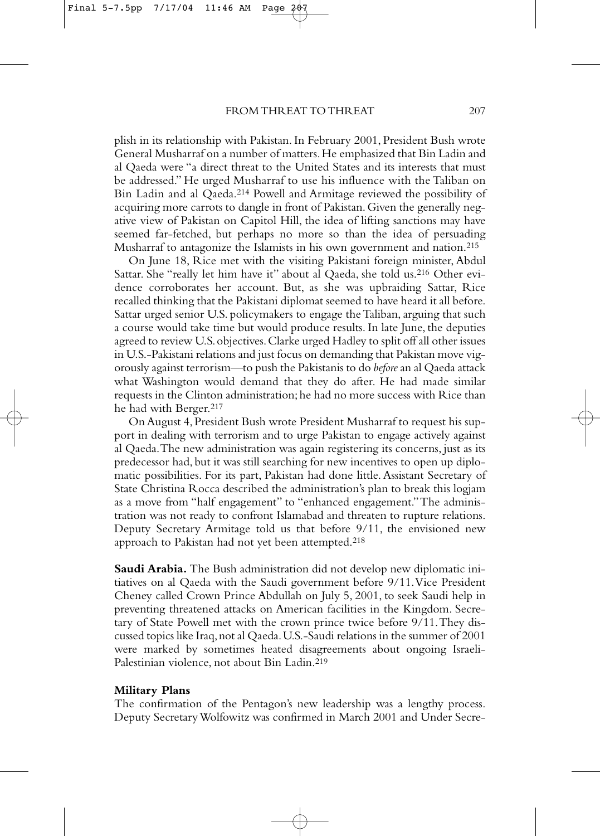plish in its relationship with Pakistan. In February 2001, President Bush wrote General Musharraf on a number of matters.He emphasized that Bin Ladin and al Qaeda were "a direct threat to the United States and its interests that must be addressed." He urged Musharraf to use his influence with the Taliban on Bin Ladin and al Qaeda.214 Powell and Armitage reviewed the possibility of acquiring more carrots to dangle in front of Pakistan.Given the generally negative view of Pakistan on Capitol Hill, the idea of lifting sanctions may have seemed far-fetched, but perhaps no more so than the idea of persuading Musharraf to antagonize the Islamists in his own government and nation.<sup>215</sup>

On June 18, Rice met with the visiting Pakistani foreign minister, Abdul Sattar. She "really let him have it" about al Qaeda, she told us.216 Other evidence corroborates her account. But, as she was upbraiding Sattar, Rice recalled thinking that the Pakistani diplomat seemed to have heard it all before. Sattar urged senior U.S. policymakers to engage the Taliban, arguing that such a course would take time but would produce results. In late June, the deputies agreed to review U.S. objectives. Clarke urged Hadley to split off all other issues in U.S.-Pakistani relations and just focus on demanding that Pakistan move vigorously against terrorism—to push the Pakistanis to do *before* an al Qaeda attack what Washington would demand that they do after. He had made similar requests in the Clinton administration; he had no more success with Rice than he had with Berger.217

On August 4,President Bush wrote President Musharraf to request his support in dealing with terrorism and to urge Pakistan to engage actively against al Qaeda.The new administration was again registering its concerns, just as its predecessor had, but it was still searching for new incentives to open up diplomatic possibilities. For its part, Pakistan had done little. Assistant Secretary of State Christina Rocca described the administration's plan to break this logjam as a move from "half engagement" to "enhanced engagement."The administration was not ready to confront Islamabad and threaten to rupture relations. Deputy Secretary Armitage told us that before 9/11, the envisioned new approach to Pakistan had not yet been attempted.218

**Saudi Arabia.** The Bush administration did not develop new diplomatic initiatives on al Qaeda with the Saudi government before 9/11.Vice President Cheney called Crown Prince Abdullah on July 5, 2001, to seek Saudi help in preventing threatened attacks on American facilities in the Kingdom. Secretary of State Powell met with the crown prince twice before 9/11.They discussed topics like Iraq,not al Qaeda.U.S.-Saudi relations in the summer of 2001 were marked by sometimes heated disagreements about ongoing Israeli-Palestinian violence, not about Bin Ladin.219

#### **Military Plans**

The confirmation of the Pentagon's new leadership was a lengthy process. Deputy Secretary Wolfowitz was confirmed in March 2001 and Under Secre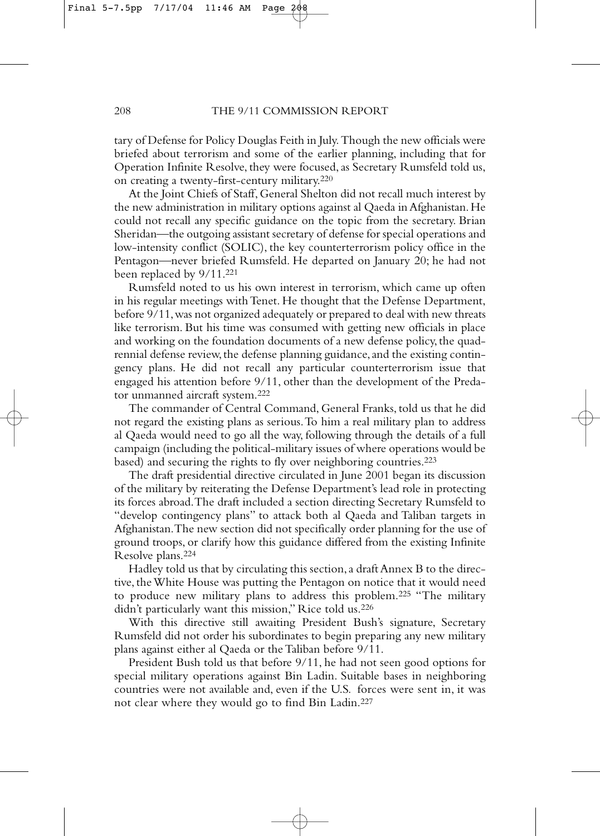tary of Defense for Policy Douglas Feith in July. Though the new officials were briefed about terrorism and some of the earlier planning, including that for Operation Infinite Resolve, they were focused, as Secretary Rumsfeld told us, on creating a twenty-first-century military.220

At the Joint Chiefs of Staff, General Shelton did not recall much interest by the new administration in military options against al Qaeda in Afghanistan. He could not recall any specific guidance on the topic from the secretary. Brian Sheridan—the outgoing assistant secretary of defense for special operations and low-intensity conflict (SOLIC), the key counterterrorism policy office in the Pentagon—never briefed Rumsfeld. He departed on January 20; he had not been replaced by 9/11.221

Rumsfeld noted to us his own interest in terrorism, which came up often in his regular meetings with Tenet. He thought that the Defense Department, before 9/11,was not organized adequately or prepared to deal with new threats like terrorism. But his time was consumed with getting new officials in place and working on the foundation documents of a new defense policy, the quadrennial defense review, the defense planning guidance, and the existing contingency plans. He did not recall any particular counterterrorism issue that engaged his attention before 9/11, other than the development of the Predator unmanned aircraft system.222

The commander of Central Command, General Franks, told us that he did not regard the existing plans as serious.To him a real military plan to address al Qaeda would need to go all the way, following through the details of a full campaign (including the political-military issues of where operations would be based) and securing the rights to fly over neighboring countries.223

The draft presidential directive circulated in June 2001 began its discussion of the military by reiterating the Defense Department's lead role in protecting its forces abroad.The draft included a section directing Secretary Rumsfeld to "develop contingency plans" to attack both al Qaeda and Taliban targets in Afghanistan.The new section did not specifically order planning for the use of ground troops, or clarify how this guidance differed from the existing Infinite Resolve plans.224

Hadley told us that by circulating this section,a draft Annex B to the directive, the White House was putting the Pentagon on notice that it would need to produce new military plans to address this problem.225 "The military didn't particularly want this mission," Rice told us.226

With this directive still awaiting President Bush's signature, Secretary Rumsfeld did not order his subordinates to begin preparing any new military plans against either al Qaeda or the Taliban before 9/11.

President Bush told us that before 9/11, he had not seen good options for special military operations against Bin Ladin. Suitable bases in neighboring countries were not available and, even if the U.S. forces were sent in, it was not clear where they would go to find Bin Ladin.227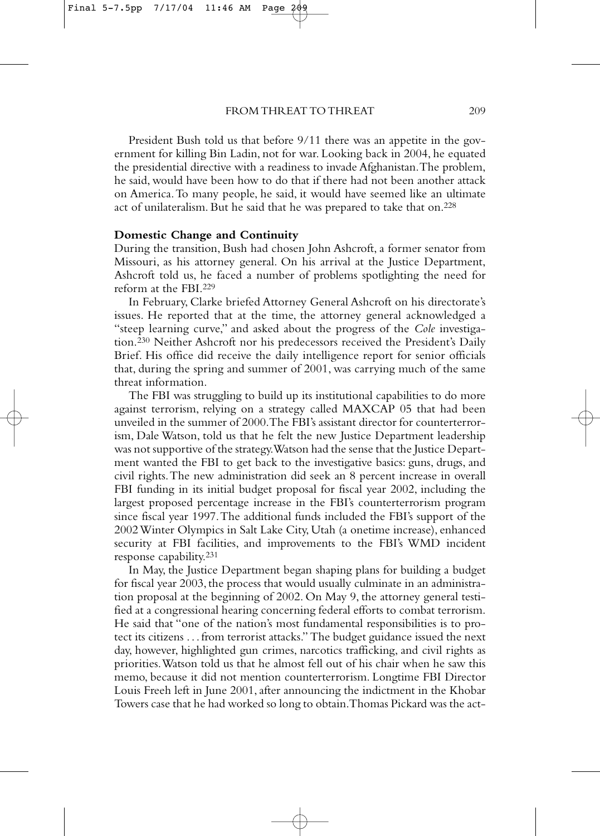President Bush told us that before 9/11 there was an appetite in the government for killing Bin Ladin, not for war. Looking back in 2004, he equated the presidential directive with a readiness to invade Afghanistan.The problem, he said, would have been how to do that if there had not been another attack on America.To many people, he said, it would have seemed like an ultimate act of unilateralism. But he said that he was prepared to take that on.228

#### **Domestic Change and Continuity**

During the transition, Bush had chosen John Ashcroft, a former senator from Missouri, as his attorney general. On his arrival at the Justice Department, Ashcroft told us, he faced a number of problems spotlighting the need for reform at the FBI.229

In February, Clarke briefed Attorney General Ashcroft on his directorate's issues. He reported that at the time, the attorney general acknowledged a "steep learning curve," and asked about the progress of the *Cole* investigation.230 Neither Ashcroft nor his predecessors received the President's Daily Brief. His office did receive the daily intelligence report for senior officials that, during the spring and summer of 2001, was carrying much of the same threat information.

The FBI was struggling to build up its institutional capabilities to do more against terrorism, relying on a strategy called MAXCAP 05 that had been unveiled in the summer of 2000.The FBI's assistant director for counterterrorism, Dale Watson, told us that he felt the new Justice Department leadership was not supportive of the strategy.Watson had the sense that the Justice Department wanted the FBI to get back to the investigative basics: guns, drugs, and civil rights.The new administration did seek an 8 percent increase in overall FBI funding in its initial budget proposal for fiscal year 2002, including the largest proposed percentage increase in the FBI's counterterrorism program since fiscal year 1997.The additional funds included the FBI's support of the 2002 Winter Olympics in Salt Lake City, Utah (a onetime increase), enhanced security at FBI facilities, and improvements to the FBI's WMD incident response capability.231

In May, the Justice Department began shaping plans for building a budget for fiscal year 2003, the process that would usually culminate in an administration proposal at the beginning of 2002. On May 9, the attorney general testified at a congressional hearing concerning federal efforts to combat terrorism. He said that "one of the nation's most fundamental responsibilities is to protect its citizens . . . from terrorist attacks." The budget guidance issued the next day, however, highlighted gun crimes, narcotics trafficking, and civil rights as priorities.Watson told us that he almost fell out of his chair when he saw this memo, because it did not mention counterterrorism. Longtime FBI Director Louis Freeh left in June 2001, after announcing the indictment in the Khobar Towers case that he had worked so long to obtain.Thomas Pickard was the act-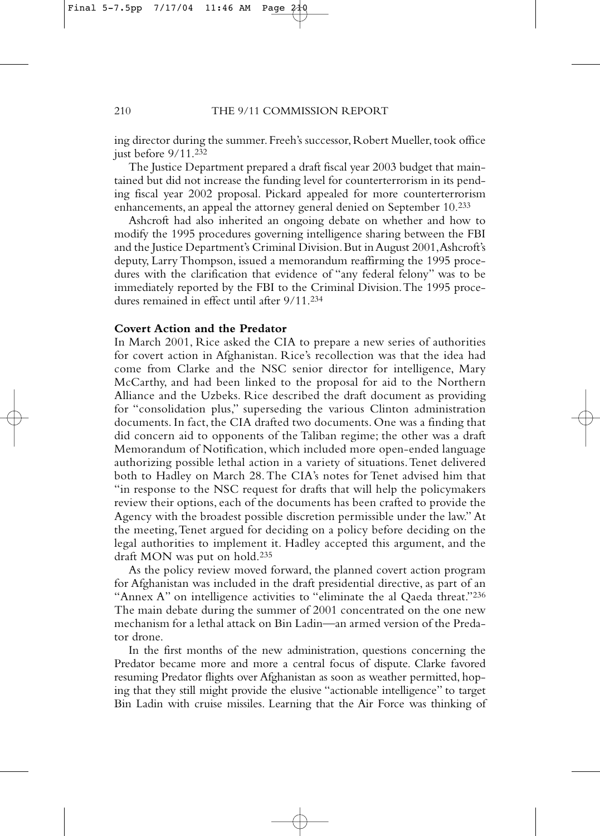ing director during the summer. Freeh's successor, Robert Mueller, took office just before  $9/11.232$ 

The Justice Department prepared a draft fiscal year 2003 budget that maintained but did not increase the funding level for counterterrorism in its pending fiscal year 2002 proposal. Pickard appealed for more counterterrorism enhancements, an appeal the attorney general denied on September 10.233

Ashcroft had also inherited an ongoing debate on whether and how to modify the 1995 procedures governing intelligence sharing between the FBI and the Justice Department's Criminal Division. But in August 2001, Ashcroft's deputy, Larry Thompson, issued a memorandum reaffirming the 1995 procedures with the clarification that evidence of "any federal felony" was to be immediately reported by the FBI to the Criminal Division.The 1995 procedures remained in effect until after 9/11.234

## **Covert Action and the Predator**

In March 2001, Rice asked the CIA to prepare a new series of authorities for covert action in Afghanistan. Rice's recollection was that the idea had come from Clarke and the NSC senior director for intelligence, Mary McCarthy, and had been linked to the proposal for aid to the Northern Alliance and the Uzbeks. Rice described the draft document as providing for "consolidation plus," superseding the various Clinton administration documents. In fact, the CIA drafted two documents. One was a finding that did concern aid to opponents of the Taliban regime; the other was a draft Memorandum of Notification, which included more open-ended language authorizing possible lethal action in a variety of situations.Tenet delivered both to Hadley on March 28.The CIA's notes for Tenet advised him that "in response to the NSC request for drafts that will help the policymakers review their options, each of the documents has been crafted to provide the Agency with the broadest possible discretion permissible under the law." At the meeting,Tenet argued for deciding on a policy before deciding on the legal authorities to implement it. Hadley accepted this argument, and the draft MON was put on hold.235

As the policy review moved forward, the planned covert action program for Afghanistan was included in the draft presidential directive, as part of an "Annex A" on intelligence activities to "eliminate the al Qaeda threat."236 The main debate during the summer of 2001 concentrated on the one new mechanism for a lethal attack on Bin Ladin—an armed version of the Predator drone.

In the first months of the new administration, questions concerning the Predator became more and more a central focus of dispute. Clarke favored resuming Predator flights over Afghanistan as soon as weather permitted, hoping that they still might provide the elusive "actionable intelligence" to target Bin Ladin with cruise missiles. Learning that the Air Force was thinking of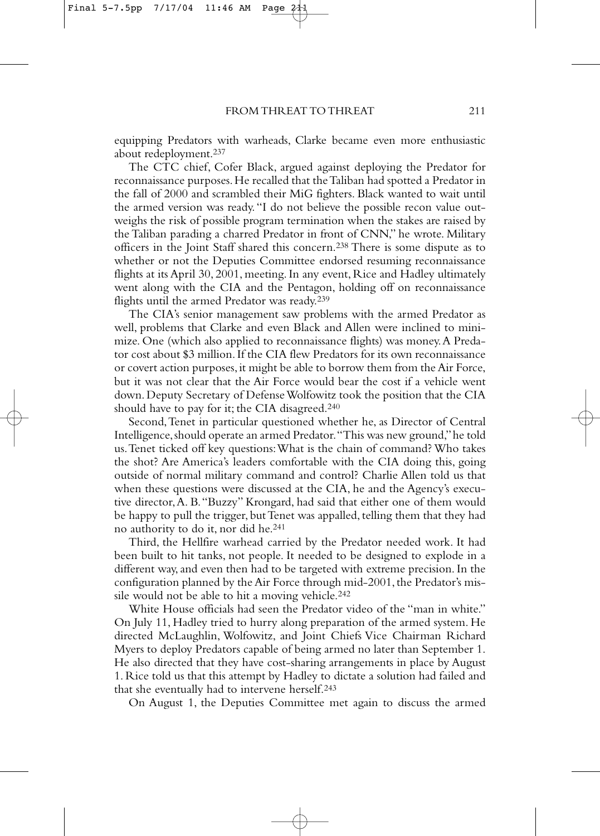equipping Predators with warheads, Clarke became even more enthusiastic about redeployment.237

The CTC chief, Cofer Black, argued against deploying the Predator for reconnaissance purposes.He recalled that the Taliban had spotted a Predator in the fall of 2000 and scrambled their MiG fighters. Black wanted to wait until the armed version was ready."I do not believe the possible recon value outweighs the risk of possible program termination when the stakes are raised by the Taliban parading a charred Predator in front of CNN," he wrote. Military officers in the Joint Staff shared this concern.238 There is some dispute as to whether or not the Deputies Committee endorsed resuming reconnaissance flights at its April 30, 2001, meeting. In any event, Rice and Hadley ultimately went along with the CIA and the Pentagon, holding off on reconnaissance flights until the armed Predator was ready.239

The CIA's senior management saw problems with the armed Predator as well, problems that Clarke and even Black and Allen were inclined to minimize. One (which also applied to reconnaissance flights) was money.A Predator cost about \$3 million. If the CIA flew Predators for its own reconnaissance or covert action purposes,it might be able to borrow them from the Air Force, but it was not clear that the Air Force would bear the cost if a vehicle went down. Deputy Secretary of Defense Wolfowitz took the position that the CIA should have to pay for it; the CIA disagreed.240

Second,Tenet in particular questioned whether he, as Director of Central Intelligence, should operate an armed Predator. "This was new ground," he told us.Tenet ticked off key questions:What is the chain of command? Who takes the shot? Are America's leaders comfortable with the CIA doing this, going outside of normal military command and control? Charlie Allen told us that when these questions were discussed at the CIA, he and the Agency's executive director,A. B."Buzzy" Krongard, had said that either one of them would be happy to pull the trigger, but Tenet was appalled, telling them that they had no authority to do it, nor did he.241

Third, the Hellfire warhead carried by the Predator needed work. It had been built to hit tanks, not people. It needed to be designed to explode in a different way, and even then had to be targeted with extreme precision. In the configuration planned by the Air Force through mid-2001, the Predator's missile would not be able to hit a moving vehicle.<sup>242</sup>

White House officials had seen the Predator video of the "man in white." On July 11, Hadley tried to hurry along preparation of the armed system. He directed McLaughlin, Wolfowitz, and Joint Chiefs Vice Chairman Richard Myers to deploy Predators capable of being armed no later than September 1. He also directed that they have cost-sharing arrangements in place by August 1. Rice told us that this attempt by Hadley to dictate a solution had failed and that she eventually had to intervene herself.243

On August 1, the Deputies Committee met again to discuss the armed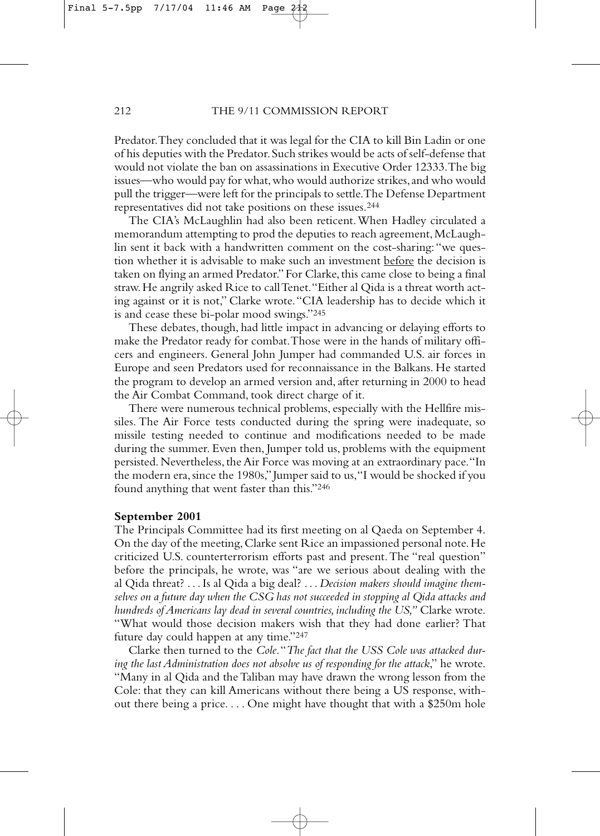Predator.They concluded that it was legal for the CIA to kill Bin Ladin or one of his deputies with the Predator.Such strikes would be acts of self-defense that would not violate the ban on assassinations in Executive Order 12333.The big issues—who would pay for what,who would authorize strikes,and who would pull the trigger—were left for the principals to settle.The Defense Department representatives did not take positions on these issues.244

The CIA's McLaughlin had also been reticent.When Hadley circulated a memorandum attempting to prod the deputies to reach agreement, McLaughlin sent it back with a handwritten comment on the cost-sharing:"we question whether it is advisable to make such an investment before the decision is taken on flying an armed Predator." For Clarke, this came close to being a final straw.He angrily asked Rice to call Tenet."Either al Qida is a threat worth acting against or it is not," Clarke wrote."CIA leadership has to decide which it is and cease these bi-polar mood swings."245

These debates, though, had little impact in advancing or delaying efforts to make the Predator ready for combat.Those were in the hands of military officers and engineers. General John Jumper had commanded U.S. air forces in Europe and seen Predators used for reconnaissance in the Balkans. He started the program to develop an armed version and, after returning in 2000 to head the Air Combat Command, took direct charge of it.

There were numerous technical problems, especially with the Hellfire missiles. The Air Force tests conducted during the spring were inadequate, so missile testing needed to continue and modifications needed to be made during the summer. Even then, Jumper told us, problems with the equipment persisted. Nevertheless, the Air Force was moving at an extraordinary pace."In the modern era,since the 1980s,"Jumper said to us,"I would be shocked if you found anything that went faster than this."246

#### **September 2001**

The Principals Committee had its first meeting on al Qaeda on September 4. On the day of the meeting,Clarke sent Rice an impassioned personal note.He criticized U.S. counterterrorism efforts past and present.The "real question" before the principals, he wrote, was "are we serious about dealing with the al Qida threat? . . . Is al Qida a big deal? . . . *Decision makers should imagine themselves on a future day when the CSG has not succeeded in stopping al Qida attacks and hundreds of Americans lay dead in several countries, including the US,"* Clarke wrote. "What would those decision makers wish that they had done earlier? That future day could happen at any time."247

Clarke then turned to the *Cole*."*The fact that the USS Cole was attacked during the last Administration does not absolve us of responding for the attack*," he wrote. "Many in al Qida and the Taliban may have drawn the wrong lesson from the Cole: that they can kill Americans without there being a US response, without there being a price.... One might have thought that with a \$250m hole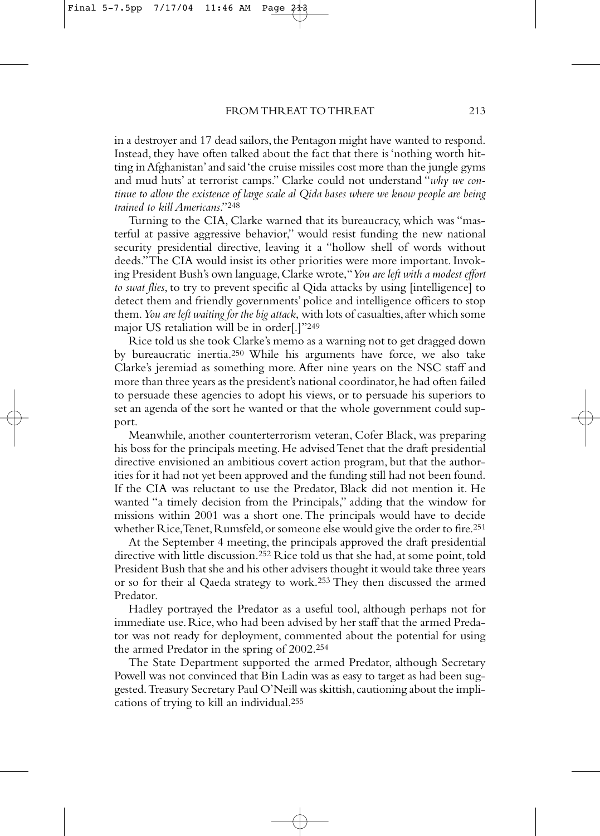in a destroyer and 17 dead sailors, the Pentagon might have wanted to respond. Instead, they have often talked about the fact that there is 'nothing worth hitting in Afghanistan'and said 'the cruise missiles cost more than the jungle gyms and mud huts' at terrorist camps." Clarke could not understand "*why we continue to allow the existence of large scale al Qida bases where we know people are being trained to kill Americans*."248

Turning to the CIA, Clarke warned that its bureaucracy, which was "masterful at passive aggressive behavior," would resist funding the new national security presidential directive, leaving it a "hollow shell of words without deeds."The CIA would insist its other priorities were more important. Invoking President Bush's own language,Clarke wrote,"*You are left with a modest effort to swat flies*, to try to prevent specific al Qida attacks by using [intelligence] to detect them and friendly governments' police and intelligence officers to stop them. You are left waiting for the big attack, with lots of casualties, after which some major US retaliation will be in order[.]"249

Rice told us she took Clarke's memo as a warning not to get dragged down by bureaucratic inertia.250 While his arguments have force, we also take Clarke's jeremiad as something more. After nine years on the NSC staff and more than three years as the president's national coordinator, he had often failed to persuade these agencies to adopt his views, or to persuade his superiors to set an agenda of the sort he wanted or that the whole government could support.

Meanwhile, another counterterrorism veteran, Cofer Black, was preparing his boss for the principals meeting. He advised Tenet that the draft presidential directive envisioned an ambitious covert action program, but that the authorities for it had not yet been approved and the funding still had not been found. If the CIA was reluctant to use the Predator, Black did not mention it. He wanted "a timely decision from the Principals," adding that the window for missions within 2001 was a short one.The principals would have to decide whether Rice, Tenet, Rumsfeld, or someone else would give the order to fire.<sup>251</sup>

At the September 4 meeting, the principals approved the draft presidential directive with little discussion.252 Rice told us that she had, at some point, told President Bush that she and his other advisers thought it would take three years or so for their al Qaeda strategy to work.253 They then discussed the armed Predator.

Hadley portrayed the Predator as a useful tool, although perhaps not for immediate use. Rice, who had been advised by her staff that the armed Predator was not ready for deployment, commented about the potential for using the armed Predator in the spring of 2002.254

The State Department supported the armed Predator, although Secretary Powell was not convinced that Bin Ladin was as easy to target as had been suggested.Treasury Secretary Paul O'Neill was skittish,cautioning about the implications of trying to kill an individual.255